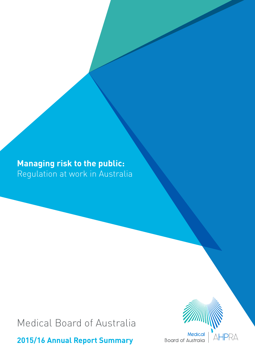# **Managing risk to the public:** Regulation at work in Australia

Medical Board of Australia

**2015/16 Annual Report Summary**



Medical **Board of Australia**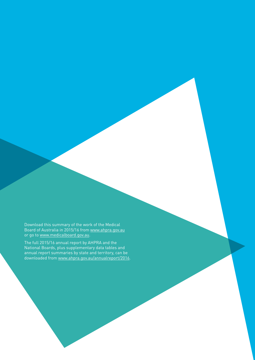Download this summary of the work of the Medical Board of Australia in 2015/16 from [www.ahpra.gov.au](http://www.ahpra.gov.au) or go to [www.medicalboard.gov.au](http://www.medicalboard.gov.au).

The full 2015/16 annual report by AHPRA and the National Boards, plus supplementary data tables and annual report summaries by state and territory, can be downloaded from [www.ahpra.gov.au/annualreport/2016](http://www.ahpra.gov.au/annualreport/2016).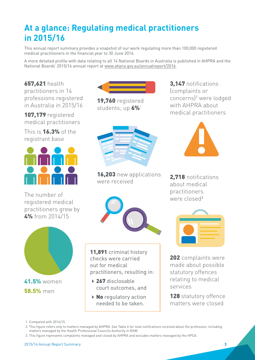# <span id="page-2-0"></span>**At a glance: Regulating medical practitioners in 2015/16**

This annual report summary provides a snapshot of our work regulating more than 100,000 registered medical practitioners in the financial year to 30 June 2016.

A more detailed profile with data relating to all 14 National Boards in Australia is published in AHPRA and the National Boards' 2015/16 annual report at [www.ahpra.gov.au/annualreport/2016](http://www.ahpra.gov.au/annualreport/2016).

657,621 health practitioners in 14 professions registered in Australia in 2015/16

107,179 registered medical practitioners

This is 16.3% of the registrant base



The number of registered medical practitioners grew by 4% from 2014/15





19,760 registered students; up 6%<sup>1</sup>



16,203 new applications were received



11,891 criminal history checks were carried out for medical practitioners, resulting in:

- ▶ 267 disclosable court outcomes, and
- $\triangleright$  No regulatory action needed to be taken.





2.718 notifications about medical practitioners were closed<sup>3</sup>



202 complaints were made about possible statutory offences relating to medical services

128 statutory offence matters were closed

1. Compared with 2014/15.

2. This figure refers only to matters managed by AHPRA. See Table 6 for total notifications received about the profession, including matters managed by the Health Professional Councils Authority in NSW.

3. This figure represents complaints managed and closed by AHPRA and excludes matters managed by the HPCA.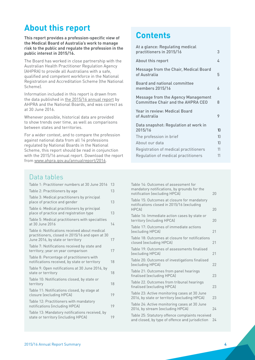### **About this report**

**This report provides a profession-specific view of the Medical Board of Australia's work to manage risk to the public and regulate the profession in the public interest in 2015/16.**

The Board has worked in close partnership with the Australian Health Practitioner Regulation Agency (AHPRA) to provide all Australians with a safe, qualified and competent workforce in the National Registration and Accreditation Scheme (the National Scheme).

Information included in this report is drawn from the data published in [the 2015/16 annual report](http://www.ahpra.gov.au/annualreport/2016/) by AHPRA and the National Boards, and was correct as at 30 June 2016.

Whenever possible, historical data are provided to show trends over time, as well as comparisons between states and territories.

For a wider context, and to compare the profession against national data from all 14 professions regulated by National Boards in the National Scheme, this report should be read in conjunction with the 2015/16 annual report. Download the report from [www.ahpra.gov.au/annualreport/2016.](http://www.ahpra.gov.au/annualreport/2016)

### **Contents**

| At a glance: Regulating medical                                                |    |
|--------------------------------------------------------------------------------|----|
| practitioners in 2015/16                                                       | 3  |
| About this report                                                              | 4  |
| Message from the Chair, Medical Board<br>of Australia                          | 5  |
| <b>Board and national committee</b><br>members 2015/16                         | 6  |
| Message from the Agency Management<br><b>Committee Chair and the AHPRA CEO</b> | 8  |
| Year in review: Medical Board<br>of Australia                                  | 9  |
| Data snapshot: Regulation at work in<br>2015/16                                | 10 |
| The profession in brief                                                        | 10 |
| About our data                                                                 | 10 |
| Registration of medical practitioners                                          | 11 |
| Regulation of medical practitioners                                            | 11 |
|                                                                                |    |

### Data tables

| Table 1: Practitioner numbers at 30 June 2016                                                                                        | 13 |
|--------------------------------------------------------------------------------------------------------------------------------------|----|
| Table 2: Practitioners by age                                                                                                        | 13 |
| Table 3: Medical practitioners by principal<br>place of practice and gender                                                          | 13 |
| Table 4: Medical practitioners by principal<br>place of practice and registration type                                               | 13 |
| Table 5: Medical practitioners with specialties<br>at 30 June 2016                                                                   | 14 |
| Table 6: Notifications received about medical<br>practitioners, closed in 2015/16 and open at 30<br>June 2016, by state or territory | 17 |
| Table 7: Notifications received by state and<br>territory; year on year comparison                                                   | 17 |
| Table 8: Percentage of practitioners with<br>notifications received, by state or territory                                           | 18 |
| Table 9: Open notifications at 30 June 2016, by<br>state or territory                                                                | 18 |
| Table 10: Notifications closed, by state or<br>territory                                                                             | 18 |
| Table 11: Notifications closed, by stage at<br>closure (excluding HPCA)                                                              | 19 |
| Table 12: Practitioners with mandatory<br>notifications (including HPCA)                                                             | 19 |
| Table 13: Mandatory notifications received, by<br>state or territory (including HPCA)                                                | 19 |
|                                                                                                                                      |    |

| Table 14: Outcomes of assessment for<br>mandatory notifications, by grounds for the<br>notification (excluding HPCA) | 20 |
|----------------------------------------------------------------------------------------------------------------------|----|
| Table 15: Outcomes at closure for mandatory<br>notifications closed in 2015/16 (excluding<br><b>HPCA</b>             | 20 |
| Table 16: Immediate action cases by state or<br>territory (including HPCA)                                           | 20 |
| Table 17: Outcomes of immediate actions<br>(excluding HPCA)                                                          | 21 |
| Table 18: Outcomes at closure for notifications<br>closed (excluding HPCA)                                           | 21 |
| Table 19: Outcomes of assessments finalised<br>(excluding HPCA)                                                      | 21 |
| Table 20: Outcomes of investigations finalised<br>(excluding HPCA)                                                   | 22 |
| Table 21: Outcomes from panel hearings<br>finalised (excluding HPCA)                                                 | 23 |
| Table 22. Outcomes from tribunal hearings<br>finalised (excluding HPCA)                                              | 23 |
| Table 23: Active monitoring cases at 30 June<br>2016, by state or territory (excluding HPCA)                         | 23 |
| Table 24: Active monitoring cases at 30 June<br>2016, by stream (excluding HPCA)                                     | 24 |
| Table 25: Statutory offence complaints received<br>and closed, by type of offence and jurisdiction                   | 24 |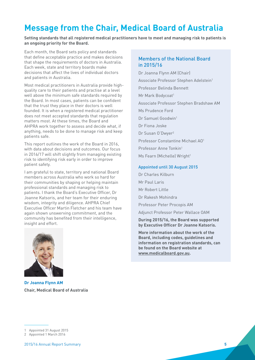## <span id="page-4-0"></span>**Message from the Chair, Medical Board of Australia**

**Setting standards that all registered medical practitioners have to meet and managing risk to patients is an ongoing priority for the Board.** 

Each month, the Board sets policy and standards that define acceptable practice and makes decisions that shape the requirements of doctors in Australia. Each week, state and territory boards make decisions that affect the lives of individual doctors and patients in Australia.

Most medical practitioners in Australia provide highquality care to their patients and practise at a level well above the minimum safe standards required by the Board. In most cases, patients can be confident that the trust they place in their doctors is well founded. It is when a registered medical practitioner does not meet accepted standards that regulation matters most. At these times, the Board and AHPRA work together to assess and decide what, if anything, needs to be done to manage risk and keep patients safe.

This report outlines the work of the Board in 2016, with data about decisions and outcomes. Our focus in 2016/17 will shift slightly from managing existing risk to identifying risk early in order to improve patient safety.

I am grateful to state, territory and national Board members across Australia who work so hard for their communities by shaping or helping maintain professional standards and managing risk to patients. I thank the Board's Executive Officer, Dr Joanne Katsoris, and her team for their enduring wisdom, integrity and diligence. AHPRA Chief Executive Officer Martin Fletcher and his team have again shown unswerving commitment, and the community has benefited from their intelligence, insight and effort.



**Dr Joanna Flynn AM Chair, Medical Board of Australia** 

#### Members of the National Board in 2015/16

Dr Joanna Flynn AM (Chair) Associate Professor Stephen Adelstein<sup>1</sup> Professor Belinda Bennett Mr Mark Bodycoat<sup>1</sup> Associate Professor Stephen Bradshaw AM Ms Prudence Ford Dr Samuel Goodwin1 Dr Fiona Joske Dr Susan O'Dwyer2 Professor Constantine Michael AO1 Professor Anne Tonkin1 Ms Fearn (Michelle) Wright<sup>1</sup>

#### Appointed until 30 August 2015

Dr Charles Kilburn

- Mr Paul Laris
- Mr Robert Little
- Dr Rakesh Mohindra

Professor Peter Procopis AM

Adjunct Professor Peter Wallace OAM

**During 2015/16, the Board was supported by Executive Officer Dr Joanne Katsoris.**

**More information about the work of the Board, including codes, guidelines and information on registration standards, can be found on the Board website at [www.medicalboard.gov.au.](http://www.medicalboard.gov.au.)**

2 Appointed 1 March 2016

<sup>1</sup> Appointed 31 August 2015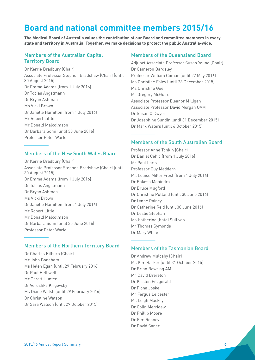## <span id="page-5-0"></span>**Board and national committee members 2015/16**

**The Medical Board of Australia values the contribution of our Board and committee members in every state and territory in Australia. Together, we make decisions to protect the public Australia-wide.**

#### Members of the Australian Capital Territory Board

Dr Kerrie Bradbury (Chair) Associate Professor Stephen Bradshaw (Chair) (until 30 August 2015) Dr Emma Adams (from 1 July 2016) Dr Tobias Angstmann Dr Bryan Ashman Ms Vicki Brown Dr Janelle Hamilton (from 1 July 2016) Mr Robert Little Mr Donald Malcolmson Dr Barbara Somi (until 30 June 2016) Professor Peter Warfe

#### Members of the New South Wales Board

Dr Kerrie Bradbury (Chair) Associate Professor Stephen Bradshaw (Chair) (until 30 August 2015) Dr Emma Adams (from 1 July 2016) Dr Tobias Angstmann Dr Bryan Ashman Ms Vicki Brown Dr Janelle Hamilton (from 1 July 2016) Mr Robert Little Mr Donald Malcolmson Dr Barbara Somi (until 30 June 2016) Professor Peter Warfe

#### Members of the Northern Territory Board

Dr Charles Kilburn (Chair) Mr John Boneham Ms Helen Egan (until 29 February 2016) Dr Paul Helliwell Mr Garett Hunter Dr Verushka Krigovsky Ms Diane Walsh (until 29 February 2016) Dr Christine Watson Dr Sara Watson (until 29 October 2015)

#### Members of the Queensland Board

Adjunct Associate Professor Susan Young (Chair) Dr Cameron Bardsley Professor William Coman (until 27 May 2016) Ms Christine Foley (until 23 December 2015) Ms Christine Gee Mr Gregory McGuire Associate Professor Eleanor Milligan Associate Professor David Morgan OAM Dr Susan O'Dwyer Dr Josephine Sundin (until 31 December 2015) Dr Mark Waters (until 6 October 2015)

#### Members of the South Australian Board

Professor Anne Tonkin (Chair) Dr Daniel Cehic (from 1 July 2016) Mr Paul Laris Professor Guy Maddern Ms Louise Miller Frost (from 1 July 2016) Dr Rakesh Mohindra Dr Bruce Mugford Dr Christine Putland (until 30 June 2016) Dr Lynne Rainey Dr Catherine Reid (until 30 June 2016) Dr Leslie Stephan Ms Katherine (Kate) Sullivan Mr Thomas Symonds Dr Mary White

#### Members of the Tasmanian Board

Dr Andrew Mulcahy (Chair) Ms Kim Barker (until 31 October 2015) Dr Brian Bowring AM Mr David Brereton Dr Kristen Fitzgerald Dr Fiona Joske Mr Fergus Leicester Ms Leigh Mackey Dr Colin Merridew Dr Phillip Moore Dr Kim Rooney Dr David Saner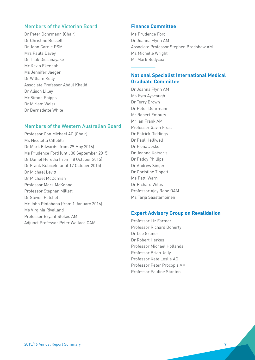#### Members of the Victorian Board

Dr Peter Dohrmann (Chair) Dr Christine Bessell Dr John Carnie PSM Mrs Paula Davey Dr Tilak Dissanayake Mr Kevin Ekendahl Ms Jennifer Jaeger Dr William Kelly Associate Professor Abdul Khalid Dr Alison Lilley Mr Simon Phipps Dr Miriam Weisz Dr Bernadette White

#### Members of the Western Australian Board

Professor Con Michael AO (Chair) Ms Nicoletta Ciffolilli Dr Mark Edwards (from 29 May 2016) Ms Prudence Ford (until 30 September 2015) Dr Daniel Heredia (from 18 October 2015) Dr Frank Kubicek (until 17 October 2015) Dr Michael Levitt Dr Michael McComish Professor Mark McKenna Professor Stephan Millett Dr Steven Patchett Mr John Pintabona (from 1 January 2016) Ms Virginia Rivalland Professor Bryant Stokes AM Adjunct Professor Peter Wallace OAM

#### **Finance Committee**

Ms Prudence Ford Dr Joanna Flynn AM Associate Professor Stephen Bradshaw AM Ms Michelle Wright Mr Mark Bodycoat

#### **National Specialist International Medical Graduate Committee**

Dr Joanna Flynn AM Ms Kym Ayscough Dr Terry Brown Dr Peter Dohrmann Mr Robert Embury Mr Ian Frank AM Professor Gavin Frost Dr Patrick Giddings Dr Paul Helliwell Dr Fiona Joske Dr Joanne Katsoris Dr Paddy Phillips Dr Andrew Singer Dr Christine Tippett Ms Patti Warn Dr Richard Willis Professor Ajay Rane OAM Ms Tarja Saastamoinen

#### **Expert Advisory Group on Revalidation**

Professor Liz Farmer Professor Richard Doherty Dr Lee Gruner Dr Robert Herkes Professor Michael Hollands Professor Brian Jolly Professor Kate Leslie AO Professor Peter Procopis AM Professor Pauline Stanton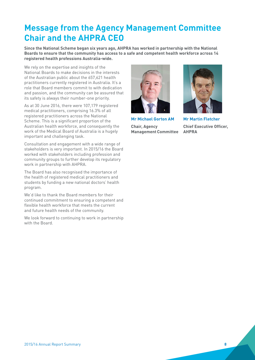## <span id="page-7-0"></span>**Message from the Agency Management Committee Chair and the AHPRA CEO**

**Since the National Scheme began six years ago, AHPRA has worked in partnership with the National Boards to ensure that the community has access to a safe and competent health workforce across 14 registered health professions Australia-wide.** 

We rely on the expertise and insights of the National Boards to make decisions in the interests of the Australian public about the 657,621 health practitioners currently registered in Australia. It's a role that Board members commit to with dedication and passion, and the community can be assured that its safety is always their number-one priority.

As at 30 June 2016, there were 107,179 registered medical practitioners, comprising 16.3% of all registered practitioners across the National Scheme. This is a significant proportion of the Australian health workforce, and consequently the work of the Medical Board of Australia is a hugely important and challenging task.

Consultation and engagement with a wide range of stakeholders is very important. In 2015/16 the Board worked with stakeholders including profession and community groups to further develop its regulatory work in partnership with AHPRA.

The Board has also recognised the importance of the health of registered medical practitioners and students by funding a new national doctors' health program.

We'd like to thank the Board members for their continued commitment to ensuring a competent and flexible health workforce that meets the current and future health needs of the community.

We look forward to continuing to work in partnership with the Board.



**Mr Michael Gorton AM**

**Chair, Agency Management Committee**



**Mr Martin Fletcher Chief Executive Officer, AHPRA**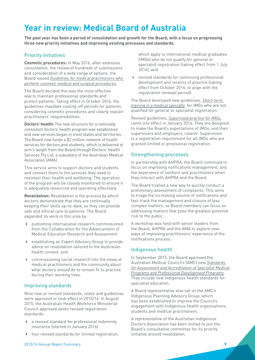## <span id="page-8-0"></span>**Year in review: Medical Board of Australia**

**The past year has been a period of consolidation and growth for the Board, with a focus on progressing three new priority initiatives and improving existing processes and standards.**

#### Priority initiatives

**Cosmetic procedures:** In May 2016, after extensive consultation, the review of hundreds of submissions and consideration of a wide range of options, the Board issued *[Guidelines for medical practitioners who](http://www.medicalboard.gov.au/News/2016-05-09-media-statement.aspx)  [perform cosmetic medical and surgical procedures](http://www.medicalboard.gov.au/News/2016-05-09-media-statement.aspx)*.

The Board decided this was the most effective way to maintain professional standards and protect patients. Taking effect in October 2016, the guidelines mandate cooling-off periods for patients considering cosmetic procedures and clearly explain practitioners' responsibilities.

**Doctors' health:** The new structure for a nationally consistent doctors' health program was established and new services began in most states and territories. The Board now funds a \$2 million network of health services for doctors and students, which is delivered at arm's length from the Board through Doctors' Health Services Pty Ltd, a subsidiary of the Australian Medical Association (AMA).

This service aims to support doctors and students and connect them to the services they need to maintain their health and wellbeing. The operation of the program will be closely monitored to ensure it is adequately resourced and operating effectively.

**Revalidation:** Revalidation is the process by which doctors demonstrate that they are continually keeping their skills up-to-date, so they can provide safe and ethical care to patients. The Board expanded its work in this area by:

- publishing international research commissioned from the Collaboration for the Advancement of Medical Education Research and Assessment
- establishing an Expert Advisory Group to provide advice on revalidation tailored to the Australian health context, and
- commissioning social research into the views of medical practitioners and the community about what doctors should do to remain fit to practise during their working lives.

#### Improving standards

Nine new or revised standards, codes and guidelines were approved or took effect in 2015/16. In August 2015, the Australian Health Workforce Ministerial Council approved seven revised registration standards:

- a revised standard for professional indemnity insurance (started in January 2016)
- $\blacktriangleright$  four revised standards for limited registration,

which apply to international medical graduates (IMGs) who do not qualify for general or specialist registration (taking effect from 1 July 2016), and

 revised standards for continuing professional development and recency of practice (taking effect from October 2016, to align with the registration renewal period).

The Board developed new guidelines, *[Short-term](http://www.medicalboard.gov.au/Registration/International-Medical-Graduates/Short-term-training.aspx)  [training in a medical specialty](http://www.medicalboard.gov.au/Registration/International-Medical-Graduates/Short-term-training.aspx)*, for IMGs who are not qualified for general or specialist registration.

Revised guidelines, *[Supervised practice for IMGs](http://www.medicalboard.gov.au/Registration/International-Medical-Graduates/Supervision.aspx)*, came into effect in January 2016. They are designed to make the Board's expectations of IMGs, and their supervisors and employers, clearer. Supervision is a registration requirement for all IMGs who are granted limited or provisional registration.

#### Strengthening processes

In partnership with AHPRA, the Board continued to focus on improving notifications management, and the experience of notifiers and practitioners when they interact with AHPRA and the Board.

The Board trialled a new way to quickly conduct a preliminary assessment of complaints. This aims to triage the increasing volume of notifications and fast-track the management and closure of less complex matters, so Board members can focus on addressing matters that pose the greatest potential risk to the public.

A workshop was held with senior leaders from the Board, AHPRA and the AMA to explore new ways of improving practitioners' experience of the notifications process.

#### Indigenous health

In September 2015, the Board approved the Australian Medical Council's (AMC) new *[Standards](http://www.amc.org.au/files/2c1fb12996b0f6e6e5cb5478dde9d9e991409359_original.pdf)  [for Assessment and Accreditation of Specialist Medical](http://www.amc.org.au/files/2c1fb12996b0f6e6e5cb5478dde9d9e991409359_original.pdf)  [Programs and Professional Development Programs](http://www.amc.org.au/files/2c1fb12996b0f6e6e5cb5478dde9d9e991409359_original.pdf)*. They include new Indigenous health standards for specialist education.

A Board representative also sat on the AMC's Indigenous Planning Advisory Group, which has been established to improve the Council's engagement with Indigenous health organisations, students and medical practitioners.

A representative of the Australian Indigenous Doctors Association has been invited to join the Board's consultative committee for its priority initiative around revalidation.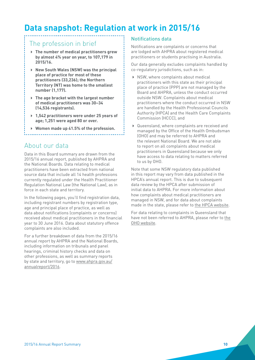## <span id="page-9-0"></span>**Data snapshot: Regulation at work in 2015/16**

### The profession in brief

- **The number of medical practitioners grew by almost 4% year on year, to 107,179 in 2015/16.**
- **New South Wales (NSW) was the principal place of practice for most of these practitioners (33,236); the Northern Territory (NT) was home to the smallest number (1,177).**
- **The age bracket with the largest number of medical practitioners was 30–34 (14,536 registrants).**
- **1,542 practitioners were under 25 years of age; 1,251 were aged 80 or over.**
- **Women made up 41.5% of the profession.**

### About our data

Data in this Board summary are drawn from the 2015/16 annual report, published by AHPRA and the National Boards. Data relating to medical practitioners have been extracted from national source data that include all 14 health professions currently regulated under the Health Practitioner Regulation National Law (the National Law), as in force in each state and territory.

In the following pages, you'll find registration data, including registrant numbers by registration type, age and principal place of practice, as well as data about notifications (complaints or concerns) received about medical practitioners in the financial year to 30 June 2016. Data about statutory offence complaints are also included.

For a further breakdown of data from the 2015/16 annual report by AHPRA and the National Boards, including information on tribunals and panel hearings, criminal history checks and data on other professions, as well as summary reports by state and territory, go to [www.ahpra.gov.au/](http://www.ahpra.gov.au/annualreport/2016) [annualreport/2016.](http://www.ahpra.gov.au/annualreport/2016)

#### Notifications data

Notifications are complaints or concerns that are lodged with AHPRA about registered medical practitioners or students practising in Australia.

Our data generally excludes complaints handled by co-regulatory jurisdictions, such as in:

- $\triangleright$  NSW, where complaints about medical practitioners with this state as their principal place of practice (PPP) are not managed by the Board and AHPRA, unless the conduct occurred outside NSW. Complaints about medical practitioners where the conduct occurred in NSW are handled by the Health Professional Councils Authority (HPCA) and the Health Care Complaints Commission (HCCC), and
- Queensland, where complaints are received and managed by the Office of the Health Ombudsman (OHO) and may be referred to AHPRA and the relevant National Board. We are not able to report on all complaints about medical practitioners in Queensland because we only have access to data relating to matters referred to us by OHO.

Note that some NSW regulatory data published in this report may vary from data published in the HPCA's annual report. This is due to subsequent data review by the HPCA after submission of initial data to AHPRA. For more information about how complaints about medical practitioners are managed in NSW, and for data about complaints made in the state, please refer to [the HPCA website.](http://www.hpca.nsw.gov.au/)

For data relating to complaints in Queensland that have not been referred to AHPRA, please refer to [the](http://www.oho.qld.gov.au/news-updates/our-reporting/)  [OHO website.](http://www.oho.qld.gov.au/news-updates/our-reporting/)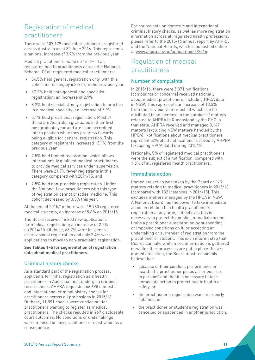### <span id="page-10-0"></span>Registration of medical practitioners

There were 107,179 medical practitioners registered across Australia as at 30 June 2016. This represents a national increase of 3.9% from the previous year.

Medical practitioners made up 16.3% of all registered health practitioners across the National Scheme. Of all registered medical practitioners:

- ▶ 34.5% held general registration only, with this cohort increasing by 6.3% from the previous year
- ▶ 47.2% held both general and specialist registration; an increase of 2.9%
- ▶ 8.2% held specialist-only registration to practise in a medical specialty; an increase of 5.9%
- ▶ 5.1% held provisional registration. Most of these are Australian graduates in their first postgraduate year and are in an accredited intern position while they progress towards being eligible for general registration. This category of registrants increased 15.1% from the previous year
- ▶ 2.5% held limited registration, which allows internationally qualified medical practitioners to provide medical services under supervision. There were 21.7% fewer registrants in this category compared with 2014/15, and
- ▶ 2.5% held non-practising registration. Under the National Law, practitioners with this type of registration cannot practise medicine. This cohort decreased by 0.3% this year.

At the end of 2015/16 there were 19,760 registered medical students; an increase of 5.8% on 2014/15.

The Board received 16,203 new applications for medical registration; an increase of 2.2% on 2014/15. Of these, 66.2% were for general or provisional registration and only 2.4% were applications to move to non-practising registration.

**See Tables 1–5 for segmentation of registration data about medical practitioners.**

#### Criminal history checks

As a standard part of the registration process, applicants for initial registration as a health practitioner in Australia must undergo a criminal record check. AHPRA requested 66,698 domestic and international criminal history checks for practitioners across all professions in 2015/16. Of these, 11,891 checks were carried out for practitioners wanting to register as medical practitioners. The checks resulted in 267 disclosable court outcomes. No conditions or undertakings were imposed on any practitioner's registration as a consequence.

For source data on domestic and international criminal history checks, as well as more registration information across all regulated health professions, please refer to the 2015/16 annual report by AHPRA and the National Boards, which is published online at [www.ahpra.gov.au/annualreport/2016.](http://www.ahpra.gov.au/annualreport/2016)

### Regulation of medical practitioners

#### Number of complaints

In 2015/16, there were 5,371 notifications (complaints or concerns) received nationally about medical practitioners, including HPCA data in NSW. This represents an increase of 18.3% from the previous year; much of which can be attributed to an increase in the number of matters referred to AHPRA in Queensland by the OHO in that state. AHPRA received and managed 3,147 matters (excluding NSW matters handled by the HPCA). Notifications about medical practitioners represent 52% of all notifications received by AHPRA (excluding HPCA data) during 2015/16.

Nationally, 5% of registered medical practitioners were the subject of a notification; compared with 1.5% of all registered health practitioners.

#### Immediate action

Immediate action was taken by the Board on 167 matters relating to medical practitioners in 2015/16 (compared with 132 instances in 2014/15). This excludes matters managed by the HPCA in NSW. A National Board has the power to take immediate action in relation to a health practitioner's registration at any time, if it believes this is necessary to protect the public. Immediate action limits a practitioner's registration by suspending or imposing conditions on it, or accepting an undertaking or surrender of registration from the practitioner or student. This is an interim step that Boards can take while more information is gathered or while other processes are put in place. To take immediate action, the Board must reasonably believe that:

- because of their conduct, performance or health, the practitioner poses a 'serious risk to persons' and that it is necessary to take immediate action to protect public health or safety, or
- $\blacktriangleright$  the practitioner's registration was improperly obtained, or
- $\blacktriangleright$  the practitioner or student's registration was cancelled or suspended in another jurisdiction.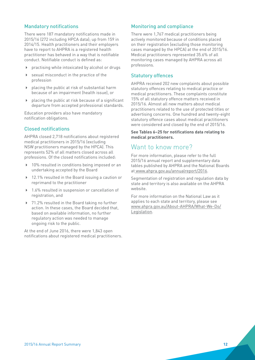#### Mandatory notifications

There were 187 mandatory notifications made in 2015/16 (272 including HPCA data); up from 159 in 2014/15. Health practitioners and their employers have to report to AHPRA is a registered health practitioner has behaved in a way that is notifiable conduct. Notifiable conduct is defined as:

- practising while intoxicated by alcohol or drugs
- sexual misconduct in the practice of the profession
- $\blacktriangleright$  placing the public at risk of substantial harm because of an impairment (health issue), or
- placing the public at risk because of a significant departure from accepted professional standards.

Education providers also have mandatory notification obligations.

#### Closed notifications

AHPRA closed 2,718 notifications about registered medical practitioners in 2015/16 (excluding NSW practitioners managed by the HPCA). This represents 52% of all matters closed across all professions. Of the closed notifications included:

- ▶ 10% resulted in conditions being imposed or an undertaking accepted by the Board
- ▶ 12.1% resulted in the Board issuing a caution or reprimand to the practitioner
- ▶ 1.6% resulted in suspension or cancellation of registration, and
- ▶ 71.2% resulted in the Board taking no further action. In these cases, the Board decided that, based on available information, no further regulatory action was needed to manage ongoing risk to the public.

At the end of June 2016, there were 1,843 open notifications about registered medical practitioners.

#### Monitoring and compliance

There were 1,767 medical practitioners being actively monitored because of conditions placed on their registration (excluding those monitoring cases managed by the HPCA) at the end of 2015/16. Medical practitioners represented 35.6% of all monitoring cases managed by AHPRA across all professions.

#### Statutory offences

AHPRA received 202 new complaints about possible statutory offences relating to medical practice or medical practitioners. These complaints constitute 15% of all statutory offence matters received in 2015/16. Almost all new matters about medical practitioners related to the use of protected titles or advertising concerns. One hundred and twenty-eight statutory offence cases about medical practitioners were considered and closed by the end of 2015/16.

**See Tables 6–25 for notifications data relating to medical practitioners.**

### Want to know more?

For more information, please refer to the full 2015/16 annual report and supplementary data tables published by AHPRA and the National Boards at [www.ahpra.gov.au/annualreport/2016.](http://www.ahpra.gov.au/annualreport/2016/)

Segmentation of registration and regulation data by state and territory is also available on the AHPRA website.

For more information on the National Law as it applies to each state and territory, please see [www.ahpra.gov.au/About-AHPRA/What-We-Do/](http://www.ahpra.gov.au/About-AHPRA/What-We-Do/Legislation) [Legislation](http://www.ahpra.gov.au/About-AHPRA/What-We-Do/Legislation).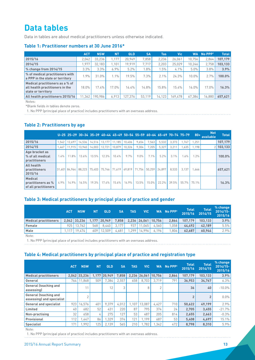## <span id="page-12-0"></span>**Data tables**

Data in tables are about medical practitioners unless otherwise indicated.

#### **Table 1: Practitioner numbers at 30 June 2016\***

|                                                                                          | <b>ACT</b> | <b>NSW</b> | <b>NT</b> | QLD     | <b>SA</b> | Tas     | Vic     | <b>WA</b> | $No$ PPP <sup>1</sup> | <b>Total</b>  |
|------------------------------------------------------------------------------------------|------------|------------|-----------|---------|-----------|---------|---------|-----------|-----------------------|---------------|
| 2015/16                                                                                  | 2.042      | 33.236     | 1.177     | 20.949  | 7,858     | 2.236   | 26,061  | 10.756    | 2.864                 | 107.179       |
| 2014/15                                                                                  | 1.977      | 32.183     | 1.101     | 19.919  | 7.717     | 2.203   | 25,029  | 10.246    | 2.758                 | 103,133       |
| $\%$ change from 2014/15                                                                 | 3.3%       | 3.3%       | 6.9%      | 5.2%    | 1.8%      | 1.5%    | $4.1\%$ | 5.0%      | $3.8\%$               | 3.9%          |
| % of medical practitioners with<br>a PPP in the state or territory                       | 1.9%       | 31.0%      | $1.1\%$   | 19.5%   | 7.3%      | $2.1\%$ | 24.3%   | 10.0%     | 2.7%                  | $100.0\%$ $ $ |
| Medical practitioners as a % of<br>all health practitioners in the<br>state or territory | 18.0%      | 17.4%      | $17.0\%$  | 16.4%   | 14.8%     | 15.8%   | 15.4%   | 16.0%     | 17.0%                 | 16.3%         |
| All health practitioners 2015/16                                                         | 1,362      | 190.986    | 6.913     | 127.376 | 53.119    | 14.123  | 169.478 | 67.384    | 16.880                | 657,621       |

Notes:

\*Blank fields in tables denote zeros.

1. No PPP (principal place of practice) includes practitioners with an overseas address.

#### **Table 2: Practitioners by age**

|                                                              |         |               |        |          | U-25 25-29 30-34 35-39 40-44 45-49 50-54 55-59 60-64 65-69 70-74 75-79 |        |                             |          |          |          |          |       | $80+$   | <b>Not</b><br>available | <b>Total</b> |
|--------------------------------------------------------------|---------|---------------|--------|----------|------------------------------------------------------------------------|--------|-----------------------------|----------|----------|----------|----------|-------|---------|-------------------------|--------------|
| 2015/16                                                      | 1.542   | 12.697        | 14.536 |          | 14.516 13.177 11.185                                                   |        | 10.406                      | 9.654    | 7.563    | 5.532    | 3.373    | .747  | .251    |                         | 107.179      |
| 2014/15                                                      | 1.467   | 11.915        | 13.940 | 14.003   | 12.721                                                                 | 10.879 | 10.326                      | 9.304    | 7.205    | 5.327    | 3.211    | .635  | 1.198   |                         | $2$ 103,133  |
| Age bracket as<br>% of all medical<br>practitioners          | $1.4\%$ | 11.8%         | 13.6%  | 13.5%    | 12.3%                                                                  | 10.4%  | 9.7%                        | $9.0\%$  | 7.1%     | 5.2%     | 3.1%     | 1.6%  | $1.2\%$ |                         | 100.0%       |
| All health<br>practitioners<br>2015/16                       |         | 31.601 84.964 | 88.223 | 75.403   |                                                                        |        | 75.746 71.619 69.819 71.754 |          | 50.259   | 24.897   | 8.533    | 3.137 | 1.666   |                         | 657,621      |
| <b>Medical</b><br>practitioners as %<br>of all practitioners | 4.9%    | 14.9%         | 16.5%  | $19.3\%$ | $17.4\%$                                                               | 15.6%  | $14.9\%$                    | $13.5\%$ | $15.0\%$ | $22.2\%$ | $39.5\%$ | 55.7% | 75.1%   |                         | 16.3%        |

#### **Table 3: Medical practitioners by principal place of practice and gender**

|                              | <b>ACT</b> | <b>NSW</b>   | N1  | QLD            | <b>SA</b> | TAS                              | <b>VIC</b> |                     | WA No PPP <sup>1</sup> | <b>Total</b><br>2015/16 | <b>Total</b><br>2014/15 | % change<br>2014/15-<br>2015/16 |
|------------------------------|------------|--------------|-----|----------------|-----------|----------------------------------|------------|---------------------|------------------------|-------------------------|-------------------------|---------------------------------|
| <b>Medical practitioners</b> |            | 2.042 33.236 |     | $1,177$ 20,949 | 7.858     |                                  |            | 2,236 26,061 10,756 | 2.864                  | 107.179                 | 103.133                 | 3.9%                            |
| Female                       |            | 925 13.762   | 568 | 8.440          | 3.177     | 937                              | .065       | 4.560               | 1.058                  | 44.492                  | 42.189                  | 5.5%                            |
| <b>Male</b>                  |            | 19.474       | 609 | 12.509         | 4.681     | $1.299$ $\overline{\phantom{1}}$ | 14.996     | 6.196               | .806                   | 62.687                  | 60.944                  | 2.9%                            |

Note:

1. No PPP (principal place of practice) includes practitioners with an overseas address.

#### **Table 4: Medical practitioners by principal place of practice and registration type**

|                                                           | <b>ACT</b> | <b>NSW</b>   | <b>NT</b> | <b>QLD</b> | <b>SA</b> | <b>TAS</b> | <b>VIC</b>          | <b>WA</b> | No PPP <sup>1</sup> | <b>Total</b><br>2015/16 | <b>Total</b><br>2014/15 | % change<br>$2014/15 -$<br>2015/16 |
|-----------------------------------------------------------|------------|--------------|-----------|------------|-----------|------------|---------------------|-----------|---------------------|-------------------------|-------------------------|------------------------------------|
| <b>Medical practitioners</b>                              |            | 2.042 33.236 | 1.177     | 20.949     | 7,858     |            | 2.236 26.061 10.756 |           | 2.864               | 107.179                 | 103.133                 | 3.9%                               |
| General                                                   | 764        | 11.868       | 509       | 7.384      | 2.557     | 658        | 8.703               | 3.719     | 791                 | 36.953                  | 34.767                  | 6.3%                               |
| <b>General (teaching and</b><br>assessing                 |            | 11           |           | 12         | 3         |            | 8                   | 2         |                     | 36                      | 40                      | $-10.0\%$                          |
| <b>General (teaching and</b><br>assessing) and specialist |            | $\Omega$     |           |            |           |            |                     |           |                     | $\overline{2}$          | $\overline{2}$          | $0.0\%$                            |
| <b>General and specialist</b>                             | 923        | 16,576       | 401       | 9.379      | 4,012     | 1.107      | 13.087              | 4,427     | 710                 | 50.622                  | 49,199                  | 2.9%                               |
| Limited                                                   | 40         | 682          | 52        | 431        | 220       | 87         | 795                 | 374       | 24                  | 2.705                   | 3,455                   | $-21.7%$                           |
| Non-practising                                            | 32         | 658          | 4         | 275        | 127       | 53         | 487                 | 205       | 814                 | 2.655                   | 2.663                   | $-0.3%$                            |
| Provisional                                               | 112        | 1.447        | 86        | .329       | 374       | 121        | 1.199               | 687       | 53                  | 5.408                   | 4,697                   | 15.1%                              |
| Specialist                                                | 171        | 1.992        | 125       | 2.139      | 565       | 210        | 1.782               | 1.342     | 472                 | 8.798                   | 8,310                   | 5.9%                               |

Note: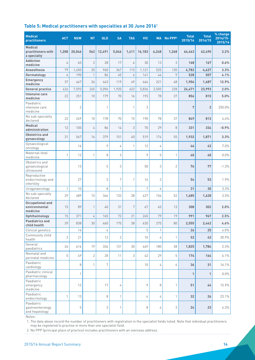#### <span id="page-13-0"></span>**Table 5: Medical practitioners with specialties at 30 June 20161**

| <b>Medical</b><br><b>practitioners</b>               | <b>ACT</b>     | <b>NSW</b>     | <b>NT</b>      | QLD    | <b>SA</b>      | <b>TAS</b> | <b>VIC</b>       | <b>WA</b>      | No PPP <sub>2</sub> | <b>Total</b><br>2015/16 | <b>Total</b><br>2014/15 | % change<br>$2014/15 -$<br>2015/16 |
|------------------------------------------------------|----------------|----------------|----------------|--------|----------------|------------|------------------|----------------|---------------------|-------------------------|-------------------------|------------------------------------|
| <b>Medical</b><br>practitioners with<br>a specialty  | 1,208          | 20,046         | 562            | 12,491 | 5,046          | 1,411      | 16,183           | 6,248          | 1,268               | 64,463                  | 62,490                  | 3.2%                               |
| <b>Addiction</b><br>medicine                         | 4              | 65             | $\overline{2}$ | 28     | 17             | 6          | 30               | 13             | 3                   | 168                     | 167                     | 0.6%                               |
| Anaesthesia                                          | 79             | 1,450          | 35             | 960    | 367            | 115        | 1,121            | 525            | 130                 | 4,782                   | 4,627                   | 3.3%                               |
| Dermatology                                          | 6              | 190            | $\mathbf{1}$   | 86     | 45             | 6          | 141              | 44             | 9                   | 528                     | 507                     | 4.1%                               |
| <b>Emergency</b><br>medicine                         | 37             | 467            | 36             | 443    | 119            | 49         | 464              | 221            | 68                  | 1,904                   | 1,687                   | 12.9%                              |
| <b>General practice</b>                              | 426            | 7,593          | 245            | 5,096  | 1,920          | 622        | 5,836            | 2,505          | 228                 | 24,471                  | 23,993                  | 2.0%                               |
| Intensive care<br>medicine                           | 22             | 251            | 10             | 179    | 70             | 16         | 193              | 78             | 37                  | 856                     | 815                     | 5.0%                               |
| Paediatric<br>intensive care<br>medicine             |                | $\overline{2}$ |                | 1      |                | 1          | 3                |                |                     | $\overline{7}$          | $\overline{2}$          | 250.0%                             |
| No sub-speciality<br>declared                        | 22             | 249            | 10             | 178    | 70             | 15         | 190              | 78             | 37                  | 849                     | 813                     | 4.4%                               |
| <b>Medical</b><br>administration                     | 12             | 105            | 4              | 86     | 14             | 3          | 70               | 29             | 8                   | 331                     | 334                     | $-0.9%$                            |
| Obstetrics and<br>gynaecology                        | 31             | 567            | 16             | 379    | 151            | 40         | 519              | 174            | 55                  | 1,932                   | 1,871                   | 3.3%                               |
| Gynaecological<br>oncology                           |                | 16             |                | 9      | 4              | 1          | 12               | 4              |                     | 46                      | 43                      | 7.0%                               |
| Maternal-fetal<br>medicine                           | 1              | 12             | $\mathbf{1}$   | 8      | 3              |            | 9                | 5              | 1                   | 40                      | 40                      | 0.0%                               |
| Obstetrics and<br>gynaecological<br>ultrasound       |                | 13             |                | 5      | 3              |            | 50               | 3              | 2                   | 76                      | 77                      | $-1.3%$                            |
| Reproductive<br>endocrinology and<br>infertility     |                | 27             |                | 3      | 7              | 1          | 14               | $\overline{2}$ |                     | 54                      | 53                      | 1.9%                               |
| Urogynaecology                                       | 1              | 10             |                | 8      | 1              |            | $\boldsymbol{7}$ | 4              |                     | 31                      | 30                      | 3.3%                               |
| No sub-specialty<br>declared                         | 29             | 489            | 15             | 346    | 133            | 38         | 427              | 156            | 52                  | 1,685                   | 1,628                   | 3.5%                               |
| <b>Occupational and</b><br>environmental<br>medicine | 15             | 89             | $\mathbf{1}$   | 40     | 31             | 7          | 67               | 45             | 13                  | 308                     | 302                     | 2.0%                               |
| Ophthalmology                                        | 15             | 371            | 4              | 165    | 72             | 21         | 245              | 79             | 19                  | 991                     | 967                     | 2.5%                               |
| <b>Paediatrics and</b><br>child health               | 39             | 838            | 30             | 460    | 175            | 38         | 620              | 275            | $80\,$              | 2,555                   | 2,442                   | 4.6%                               |
| Clinical genetics                                    |                | 16             |                | 4      |                |            | 5                | 1              |                     | 26                      | 25                      | $4.0\%$                            |
| Community child<br>health                            | $\overline{2}$ | 21             |                | 12     | $\overline{2}$ |            | 10               | 4              | $\mathbf{1}$        | 52                      | 43                      | 20.9%                              |
| General<br>paediatrics                               | 26             | 616            | 19             | 336    | 131            | 30         | 449              | 180            | 38                  | 1,825                   | 1,784                   | 2.3%                               |
| Neonatal and<br>perinatal medicine                   | 5              | 49             | $\overline{2}$ | 28     | 11             | 3          | 42               | 29             | 5                   | 174                     | 164                     | 6.1%                               |
| Paediatric<br>cardiology                             |                | 8              | $\mathbf{1}$   | 7      |                |            | 10               | 4              | 6                   | 36                      | 31                      | 16.1%                              |
| Paediatric clinical<br>pharmacology                  |                | 1              |                |        |                |            |                  |                |                     | 1                       | $\mathbf{1}$            | $0.0\%$                            |
| Paediatric<br>emergency<br>medicine                  |                | 12             |                | 17     | 4              |            | 9                | 8              | 1                   | 51                      | 44                      | 15.9%                              |
| Paediatric<br>endocrinology                          | $\mathbf{1}$   | 13             |                | 8      | 1              |            | 4                | 4              | $\mathbf{1}$        | 32                      | 26                      | 23.1%                              |
| Paediatric<br>gastroenterology<br>and hepatology     |                | 5              |                | 3      | $\mathbf{1}$   |            | 8                | 4              | 3                   | 24                      | 23                      | 4.3%                               |

Notes:

1. The data above record the number of practitioners with registration in the specialist fields listed. Note that individual practitioners may be registered to practise in more than one specialist field.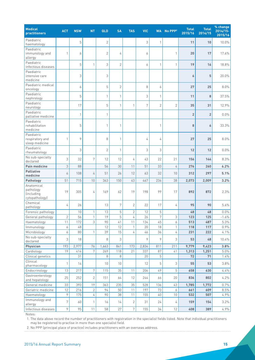| <b>Medical</b><br>practitioners                                | <b>ACT</b>   | <b>NSW</b>   | <b>NT</b>      | QLD            | <b>SA</b>      | <b>TAS</b>     | <b>VIC</b> | <b>WA</b>      | No PPP <sup>2</sup> | <b>Total</b><br>2015/16 | <b>Total</b><br>2014/15 | % change<br>2014/15-<br>2015/16 |
|----------------------------------------------------------------|--------------|--------------|----------------|----------------|----------------|----------------|------------|----------------|---------------------|-------------------------|-------------------------|---------------------------------|
| Paediatric<br>haematology                                      |              | 5            |                | $\overline{2}$ |                |                | 3          | $\mathbf{1}$   |                     | 11                      | 10                      | 10.0%                           |
| Paediatric<br>immunology and<br>allergy                        | 1            | 6            |                | $\overline{2}$ | 4              |                | 6          |                | 1                   | 20                      | 17                      | 17.6%                           |
| Paediatric<br>infectious diseases                              |              | 5            | 1              | 3              | $\overline{2}$ |                | 6          | $\mathbf{1}$   | $\mathbf{1}$        | 19                      | 16                      | 18.8%                           |
| Paediatric<br>intensive care<br>medicine                       |              | 3            |                | 3              |                |                |            |                |                     | 6                       | 5                       | 20.0%                           |
| Paediatric medical<br>oncology                                 |              | 6            |                | 5              | $\overline{2}$ |                | 8          | 6              |                     | 27                      | 25                      | 8.0%                            |
| Paediatric<br>nephrology                                       |              | 5            |                | $\mathbf{1}$   | $\mathbf{1}$   |                | 3          | $\mathbf{1}$   |                     | 11                      | 8                       | 37.5%                           |
| Paediatric<br>neurology                                        |              | 17           |                | 5              | $\mathbf{1}$   | 1              | 7          | $\overline{2}$ | $\overline{2}$      | 35                      | 31                      | 12.9%                           |
| Paediatric<br>palliative medicine                              |              | $\mathbf{1}$ |                | $\mathbf{1}$   |                |                |            |                |                     | $\overline{2}$          | $\overline{2}$          | 0.0%                            |
| Paediatric<br>rehabilitation<br>medicine                       |              | 5            |                | $\mathbf{1}$   | 1              |                |            | 1              |                     | 8                       | 6                       | 33.3%                           |
| Paediatric<br>respiratory and<br>sleep medicine                | $\mathbf{1}$ | 9            |                | 8              | 1              |                | 4          | 4              |                     | 27                      | 25                      | 8.0%                            |
| Paediatric<br>rheumatology                                     |              | 3            |                | $\overline{2}$ | $\mathbf{1}$   |                | 3          | 3              |                     | 12                      | 12                      | 0.0%                            |
| No sub-specialty<br>declared                                   | 3            | 32           | 7              | 12             | 12             | 4              | 43         | 22             | 21                  | 156                     | 144                     | 8.3%                            |
| Pain medicine                                                  | 3            | 88           |                | 56             | 30             | 11             | 51         | 33             | 4                   | 276                     | 260                     | 6.2%                            |
| <b>Palliative</b><br>medicine                                  | 6            | 108          | 4              | 51             | 26             | 12             | 63         | 32             | 10                  | 312                     | 297                     | 5.1%                            |
| Pathology                                                      | 51           | 715          | $10\,$         | 363            | 150            | 43             | 467        | 236            | 38                  | 2,073                   | 2,009                   | 3.2%                            |
| Anatomical<br>pathology<br><i>(including</i><br>cytopathology) | 19           | 305          | 4              | 169            | 62             | 19             | 198        | 99             | 17                  | 892                     | 872                     | 2.3%                            |
| Chemical<br>pathology                                          | 4            | 26           |                | 13             | 7              | $\overline{2}$ | 22         | 17             | 4                   | 95                      | 90                      | 5.6%                            |
| Forensic pathology                                             |              | 10           | $\mathbf{1}$   | 13             | 5              | $\overline{2}$ | 12         | 5              |                     | 48                      | 48                      | 0.0%                            |
| General pathology                                              | 2            | 56           | 1              | 19             | 5              | 4              | 26         | 7              | 3                   | 123                     | 125                     | $-1.6\%$                        |
| Haematology                                                    | 11           | 172          | 3              | 90             | 41             | 11             | 134        | 45             | 6                   | 513                     | 487                     | 5.3%                            |
| Immunology                                                     | 6<br>6       | 48<br>80     | 1              | 12<br>39       | 12<br>15       | 1<br>4         | 20<br>46   | 18<br>36       | 1<br>4              | 118                     | 117                     | 0.9%                            |
| Microbiology<br>No sub-specialty                               | 3            | 18           |                | 8              | 3              |                | 9          | 9              | 3                   | 231<br>53               | 222<br>48               | 4.1%<br>10.4%                   |
| declared<br>Physician                                          | 193          | 2,977        | 76             | 1,663          | 841            | 173            | 2,834      | 811            | 211                 | 9,779                   | 9,423                   | 3.8%                            |
| Cardiology                                                     | 19           | 414          | 7              | 269            | 118            | 21             | 337        | 87             | 41                  | 1,313                   | 1,251                   | 5.0%                            |
| Clinical genetics                                              |              | 31           |                | 8              | 8              |                | 20         | 5              |                     | 72                      | 71                      | 1.4%                            |
| Clinical<br>pharmacology                                       | 1            | 14           |                | 10             | 10             |                | 12         | 5              | 3                   | 55                      | 53                      | 3.8%                            |
| Endocrinology                                                  | 13           | 217          | 7              | 115            | 35             | 11             | 206        | 49             | 5                   | 658                     | 630                     | 4.4%                            |
| Gastroenterology<br>and hepatology                             | 25           | 252          | $\overline{2}$ | 151            | 64             | 12             | 244        | 66             | 20                  | 836                     | 802                     | 4.2%                            |
| General medicine                                               | 33           | 393          | 19             | 363            | 235            | 35             | 528        | 136            | 43                  | 1,785                   | 1,772                   | 0.7%                            |
| Geriatric medicine                                             | 12           | 216          | 2              | 94             | 50             | 11             | 197        | 73             | 6                   | 661                     | 609                     | 8.5%                            |
| Haematology                                                    | 9            | 175          | 4              | 90             | 38             | 11             | 155        | 40             | 10                  | 532                     | 507                     | 4.9%                            |
| Immunology and<br>allergy                                      | 7            | 60           | 1              | 16             | 14             | $\overline{2}$ | 31         | 24             | 4                   | 159                     | 154                     | 3.2%                            |
| Infectious diseases                                            | 9            | 95           | 11             | 58             | 27             | $\overline{7}$ | 155        | $34\,$         | 12                  | 408                     | 389                     | 4.9%                            |

Notes:

1. The data above record the number of practitioners with registration in the specialist fields listed. Note that individual practitioners may be registered to practise in more than one specialist field.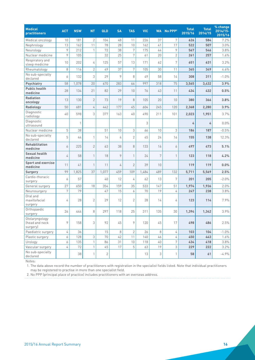| <b>Medical</b><br><b>practitioners</b>       | <b>ACT</b>    | <b>NSW</b> | <b>NT</b>      | QLD          | <b>SA</b> | <b>TAS</b>     | <b>VIC</b> | <b>WA</b>     | No PPP <sub>2</sub> | <b>Total</b><br>2015/16 | <b>Total</b><br>2014/15 | % change<br>2014/15-<br>2015/16 |
|----------------------------------------------|---------------|------------|----------------|--------------|-----------|----------------|------------|---------------|---------------------|-------------------------|-------------------------|---------------------------------|
| Medical oncology                             | 10            | 181        | $\overline{2}$ | 104          | 48        | 11             | 226        | 37            | 7                   | 626                     | 584                     | 7.2%                            |
| Nephrology                                   | 13            | 162        | 11             | 78           | 28        | 10             | 162        | 41            | 17                  | 522                     | 507                     | 3.0%                            |
| Neurology                                    | 9             | 212        | $\mathbf{1}$   | 72           | 38        | 7              | 175        | 44            | 9                   | 567                     | 546                     | 3.8%                            |
| Nuclear medicine                             | $\mathcal{P}$ | 105        |                | 32           | 25        | $\overline{7}$ | 61         | 20            | $\overline{2}$      | 261                     | 257                     | 1.6%                            |
| Respiratory and<br>sleep medicine            | 10            | 202        | 4              | 125          | 57        | 13             | 171        | 62            | 7                   | 651                     | 631                     | 3.2%                            |
| Rheumatology                                 | 8             | 116        | $\overline{2}$ | 49           | 37        | 7              | 105        | 30            | 11                  | 365                     | 349                     | 4.6%                            |
| No sub-specialty<br>declared                 | 6             | 132        | 3              | 29           | 9         | 8              | 49         | 58            | 14                  | 308                     | 311                     | $-1.0%$                         |
| Psychiatry                                   | 58            | 1.078      | 20             | 670          | 283       | 66             | 997        | 318           | 75                  | 3,565                   | 3,432                   | 3.9%                            |
| <b>Public health</b><br>medicine             | 28            | 134        | 21             | 82           | 29        | 10             | 76         | 43            | 11                  | 434                     | 432                     | 0.5%                            |
| <b>Radiation</b><br>oncology                 | 13            | 130        | $\overline{2}$ | 73           | 19        | 8              | 105        | 20            | 10                  | 380                     | 366                     | 3.8%                            |
| Radiology                                    | 50            | 681        | 4              | 442          | 177       | 45             | 604        | 245           | 120                 | 2,368                   | 2,280                   | 3.9%                            |
| Diagnostic<br>radiology                      | 40            | 598        | 3              | 377          | 163       | 40             | 490        | 211           | 101                 | 2,023                   | 1,951                   | 3.7%                            |
| Diagnostic<br>ultrasound                     |               | 1          |                |              |           |                | 3          |               |                     | 4                       | 4                       | 0.0%                            |
| Nuclear medicine                             | 5             | 38         |                | 51           | 10        | 3              | 66         | 10            | 3                   | 186                     | 187                     | $-0.5%$                         |
| No sub-specialty<br>declared                 | 5             | 44         | 1              | 14           | 4         | $\overline{2}$ | 45         | 24            | 16                  | 155                     | 138                     | 12.3%                           |
| Rehabilitation<br>medicine                   | 6             | 225        | $\overline{2}$ | 63           | 38        | 8              | 133        | 16            | 6                   | 497                     | 473                     | 5.1%                            |
| Sexual health<br>medicine                    | 4             | 58         | $\mathbf{1}$   | 18           | 9         | 1              | 24         | 7             | $\mathbf{1}$        | 123                     | 118                     | 4.2%                            |
| <b>Sport and exercise</b><br>medicine        | 11            | 41         | $\mathbf{1}$   | 11           | 4         | $\overline{2}$ | 39         | 10            |                     | 119                     | 119                     | 0.0%                            |
| Surgery                                      | 99            | 1,825      | 37             | 1,077        | 459       | 109            | 1,484      | 489           | 132                 | 5,711                   | 5,569                   | 2.5%                            |
| Cardio-thoracic<br>surgery                   | 6             | 57         |                | 40           | 12        | 4              | 62         | 13            | 7                   | 201                     | 205                     | $-2.0%$                         |
| General surgery                              | 27            | 650        | 18             | 354          | 159       | 35             | 533        | 147           | 51                  | 1,974                   | 1,936                   | 2.0%                            |
| Neurosurgery                                 | 7             | 79         |                | 47           | 15        | 6              | 70         | 19            | 4                   | 247                     | 238                     | 3.8%                            |
| Oral and<br>maxillofacial<br>surgery         | 4             | 28         | $\overline{2}$ | 29           | 12        | $\overline{2}$ | 28         | 14            | 4                   | 123                     | 114                     | 7.9%                            |
| Orthopaedic<br>surgery                       | 26            | 444        | 8              | 297          | 118       | 25             | 311        | 135           | 30                  | 1,394                   | 1,342                   | 3.9%                            |
| Otolaryngology<br>(head and neck<br>surgery) | 9             | 158        | 3              | 92           | 45        | 9              | 120        | 45            | 17                  | 498                     | 486                     | 2.5%                            |
| Paediatric surgery                           | 4             | 36         |                | 15           | $\,8\,$   | $\mathbf{2}$   | 26         | 8             | 4                   | 103                     | 104                     | $-1.0%$                         |
| Plastic surgery                              | 6             | 128        | 3              | 70           | 42        | 11             | 140        | 46            | 4                   | 450                     | 443                     | 1.6%                            |
| Urology                                      | 6             | 135        | $\mathbf{1}$   | 86           | 31        | 10             | 118        | 40            | $\overline{7}$      | 434                     | 418                     | 3.8%                            |
| Vascular surgery                             | 4             | 72         | $\mathbf{1}$   | 45           | 17        | 5              | 63         | 19            | 3                   | 229                     | 222                     | 3.2%                            |
| No sub-specialty<br>declared                 |               | 38         | $\mathbf{1}$   | $\mathbf{2}$ |           |                | 13         | $\mathfrak 3$ | $\mathbf{1}$        | 58                      | 61                      | $-4.9%$                         |

Notes:

1. The data above record the number of practitioners with registration in the specialist fields listed. Note that individual practitioners may be registered to practise in more than one specialist field.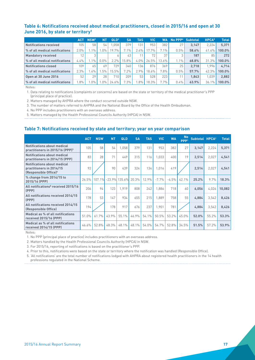#### <span id="page-16-0"></span>**Table 6: Notifications received about medical practitioners, closed in 2015/16 and open at 30 June 2016, by state or territory1**

|                                 | <b>ACT</b> | NSW <sup>2</sup> | ΝT      | QLD <sup>3</sup> | <b>SA</b> | <b>TAS</b> | VIC      | <b>WA</b> | No PPP <sup>4</sup> | <b>Subtotal</b> | HPCA <sup>5</sup> | <b>Total</b> |
|---------------------------------|------------|------------------|---------|------------------|-----------|------------|----------|-----------|---------------------|-----------------|-------------------|--------------|
| Notifications received          | 105        | 58               | 54      | .058             | 379       | 131        | 953      | 382       | 27                  | 3.147           | 2.224             | 5,371        |
| │% of all medical notifications | 2.0%       | $.1\%$           | $.0\%$  | 19.7%            | 7.1%      | 2.4%       | 17.7%    | 7.1%      | 0.5%                | 58.6%           | 41.4%             | $100.0\%$    |
| <b>Mandatory received</b>       | 12         |                  |         |                  | 43        | 11         | 72       | 37        |                     | 187             | 85                | 272          |
| │% of all medical notifications | 4.4%       | $.1\%$           | $0.0\%$ | $2.2\%$          | 15.8%     | $4.0\%$    | $26.5\%$ | 13.6%     | $1.1\%$             | 68.8%           | 31.3%             | $100.0\%$    |
| Notifications closed            | 109        | 65               | 69      | 729              | 340       | 136,       | 876      | 369       | 25                  | 2.718           | .996              | 4.714        |
| │% of all medical notifications | 2.3%       | $.4\%$           | .5%     | 15.5%            | 7.2%      | 2.9%       | 18.6%    | 7.8%      | 0.5%                | 57.7%           | 42.3%             | $100.0\%$    |
| Open at 30 June 2016            | 52         | 29               | 28      | 710              | 209       | 53         | 528      | 223       |                     | 1.843           | 1.039             | 2,882        |
| │% of all medical notifications | $.8\%$     | $.0\%$           | $.0\%$  | 24.6%            | 7.3%      | $.8\%$     | 18.3%    | 7.7%      | 0.4%                | 63.9%           | 36.1%             | 100.0%       |

Notes:

1. Data relating to notifications (complaints or concerns) are based on the state or territory of the medical practitioner's PPP (principal place of practice).

2. Matters managed by AHPRA where the conduct occurred outside NSW.

3. The number of matters referred to AHPRA and the National Board by the Office of the Health Ombudsman.

4. No PPP includes practitioners with an overseas address.

5. Matters managed by the Health Professional Councils Authority (HPCA) in NSW.

#### **Table 7: Notifications received by state and territory; year on year comparison**

|                                                                                                     | <b>ACT</b> | <b>NSW</b> | <b>NT</b> | QLD              | <b>SA</b> | <b>TAS</b> | <b>VIC</b> | <b>WA</b> | <b>No</b><br>PPP <sup>1</sup> | Subtotal HPCA <sup>2</sup> |       | <b>Total</b> |
|-----------------------------------------------------------------------------------------------------|------------|------------|-----------|------------------|-----------|------------|------------|-----------|-------------------------------|----------------------------|-------|--------------|
| <b>Notifications about medical</b><br>practitioners in 2015/16 (PPP) <sup>3</sup>                   | 105        | 58         | 54        | 1,058            | 379       | 131        | 953        | 382       | 27                            | 3,147                      | 2,224 | 5,371        |
| <b>Notifications about medical</b><br>practitioners in 2014/15 (PPP)                                | 83         | 28         | 71        | 449              | 315       | 116        | 1,033      | 400       | 19                            | 2,514                      | 2,027 | 4,541        |
| <b>Notifications about medical</b><br>practitioners in 2014/15<br>(Responsible Office) <sup>4</sup> | 92         |            | 90        | 439              | 324       | 134        | 1.016      | 419       |                               | 2,514                      | 2,027 | 4,541        |
| % change from 2014/15 to<br>2015/16 (PPP)                                                           | 26.5%      | 107.1%     |           | $-23.9\%$ 135.6% | 20.3%     | 12.9%      | $-7.7%$    | $-4.5%$   | 42.1%                         | 25.2%                      | 9.7%  | 18.3%        |
| All notifications <sup>5</sup> received 2015/16<br>(PPP)                                            | 206        | 94         | 123       | 1.919            | 808       | 242        | 1.886      | 718       | 60                            | 6,056                      | 4.026 | 10,082       |
| All notifications received 2014/15<br>(PPP)                                                         | 178        | 53         | 147       | 934              | 655       | 215        | 1.889      | 758       | 55                            | 4.884                      | 3,542 | 8,426        |
| All notifications received 2014/15<br>(Responsible Office)                                          | 194        |            | 178       | 917              | 676       | 237        | 1.901      | 781       |                               | 4,884                      | 3,542 | 8,426        |
| Medical as % of all notifications<br>received 2015/16 (PPP)                                         | 51.0%      | 61.7%      | 43.9%     | 55.1%            | 46.9%     | 54.1%      | 50.5%      | 53.2%     | 45.0%                         | 52.0%                      | 55.2% | 53.3%        |
| Medical as % of all notifications<br>received 2014/15 (PPP)                                         | 46.6%      | 52.8%      | 48.3%     | 48.1%            | 48.1%     | 54.0%      | 54.7%      | 52.8%     | 34.5%                         | 51.5%                      | 57.2% | 53.9%        |

Notes:

1. No PPP (principal place of practice) includes practitioners with an overseas address.

2. Matters handled by the Health Professional Councils Authority (HPCA) in NSW.

3. For 2015/16, reporting of notifications is based on the practitioner's PPP.

4. Prior to this, notifications were based on the state or territory where the notification was handled (Responsible Office).

5. 'All notifications' are the total number of notifications lodged with AHPRA about registered health practitioners in the 14 health professions regulated in the National Scheme.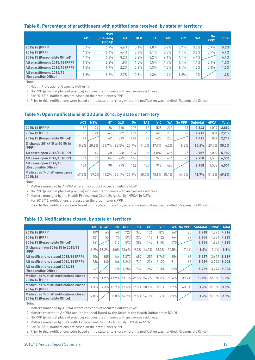#### <span id="page-17-0"></span>**Table 8: Percentage of practitioners with notifications received, by state or territory**

|                                                          | <b>ACT</b> | <b>NSW</b><br><i>lincluding</i><br>$HPCA$ <sup>1</sup> | <b>NT</b> | <b>QLD</b> | <b>SA</b> | <b>TAS</b> | <b>VIC</b> | <b>WA</b> | <b>No</b><br>PPP <sup>2</sup> | <b>Total</b> |
|----------------------------------------------------------|------------|--------------------------------------------------------|-----------|------------|-----------|------------|------------|-----------|-------------------------------|--------------|
| 2015/16 (PPP) <sup>3</sup>                               | 5.1%       | 6.9%                                                   | $4.6\%$   | 5.1%       | 4.8%      | 5.9%       | 3.7%       | 3.6%      | 0.9%                          | 5.0%         |
| 2014/15 (PPP)                                            | 4.2%       | 6.4%                                                   | 6.4%      | 2.3%       | 4.1%      | 5.3%       | 4.1%       | 3.9%      | 0.7%                          | 4.4%         |
| 2014/15 (Responsible Office) <sup>4</sup>                | 4.7%       | 6.3%                                                   | 8.2%      | 2.2%       | 4.2%      | 6.1%       | $4.1\%$    | $4.1\%$   |                               | 4.4%         |
| All practitioners 2015/16 (PPP)                          | $.8\%$     | 2.2%                                                   | $1.8\%$ . | $.5\%$     | $.5\%$    | $1.7\%$    | 1.1%       | 1.1%      | $0.4\%$                       | 1.5%         |
| All practitioners 2014/15 (PPP)                          | $.6\%$     | 1.9%                                                   | 2.2%      | 0.8%       | .3%       | 1.5%       | 1.1%       | $.2\%$    | 0.3%                          | 1.3%         |
| All practitioners 2014/15<br><b>(Responsible Office)</b> | $.8\%$     | 1.9%                                                   | 2.7%      | 0.8%       | .3%       | 1.7%       | $1.2\%$    | 1.2%      |                               | 1.3%         |

Notes:

1. Health Professional Councils Authority.

2. No PPP (principal place of practice) includes practitioners with an overseas address.

3. For 2015/16, notifications are based on the practitioner's PPP.

4. Prior to this, notifications were based on the state or territory where the notification was handled (Responsible Office).

#### **Table 9: Open notifications at 30 June 2016, by state or territory**

|                                                | <b>ACT</b> | NSW <sup>1</sup> | N1       | <b>QLD</b> | <b>SA</b> | <b>TAS</b> | <b>VIC</b>  | WA   | PPP <sup>2</sup><br>No. | <b>Subtotal</b> | HPCA <sup>3</sup> | <b>Total</b> |
|------------------------------------------------|------------|------------------|----------|------------|-----------|------------|-------------|------|-------------------------|-----------------|-------------------|--------------|
| 2015/16 (PPP) <sup>4</sup>                     | 52         | 29               | 28       | 710        | 209       | 53         | 528         | 223  |                         | 1,843           | 1,039             | 2,882        |
| 2014/15 (PPP)                                  | 58         | 24               | 41       | 389        | 169       | 60         | 448         | 210  | 12                      | 1.411           | 801               | 2,212        |
| 2014/15 (Responsible Office) <sup>5</sup>      | 61         |                  | 42       | 399        | 179       | 69         | 428         | 233  |                         | 1,411           | 801               | 2,212        |
| % change 2014/15 to 2015/16<br>(PPP)           | $-10.3%$   | 20.8%            | $-31.7%$ | 82.5%      | 23.7%     | $-11.7\%$  | 17.9%       | 6.2% | $-8.3%$                 | 30.6%           | 29.7%             | 30.3%        |
| All cases open 2015/16 (PPP)                   | 110        | 49               | 68       | .288       | 564       | 106        | 1.082       | 495  | 25                      | 3.787           | 2.002             | 5,789        |
| All cases open 2014/15 (PPP)                   | 114        | 44               | 84       | 749        | 446       | 119        | 940         | 436  | 26                      | 2,958           | 1,573             | 4,531        |
| All cases open 2014/15<br>(Responsible Office) | 121        |                  | 90       | 773        | 462       | 127        | 918         | 467  |                         | 2.958           | 1,573             | 4,531        |
| Medical as % of all open cases<br>2015/16      | 47.3%      | 59.2%            | 41.2%    | 55.1%      | $37.1\%$  | 50.0%      | 48.8% 45.1% |      | 44.0%                   | 48.7%           | 51.9%             | 49.8%        |

Notes:

1. Matters managed by AHPRA where the conduct occurred outside NSW.

2. No PPP (principal place of practice) includes practitioners with an overseas address.

3. Matters managed by the Health Professional Councils Authority (HPCA) in NSW.

4. For 2015/16, notifications are based on the practitioner's PPP.

5. Prior to this, notifications were based on the state or territory where the notification was handled (Responsible Office).

#### **Table 10: Notifications closed, by state or territory**

|                                                                          |       | <b>ACT NSW1</b> | NT               | QLD <sup>2</sup> | <b>SA</b> | TAS                                 | <b>VIC</b>                         | <b>WA</b> | $No$ PPP $3$ | <b>Subtotal</b> |             | <b>Total</b>  |
|--------------------------------------------------------------------------|-------|-----------------|------------------|------------------|-----------|-------------------------------------|------------------------------------|-----------|--------------|-----------------|-------------|---------------|
| 2015/16 (PPP) <sup>5</sup>                                               | 109   | 65              | 69               | 729              | 340       | 136                                 | 876                                | 369       | 25           | 2.718           | 1.996       | 4.714         |
| 2014/15 (PPP)                                                            | 121   | 55              | 75               | 590              | 375       | 119                                 | 1.128                              | 464       | 27           | 2.954           | 1.931       | 4.885         |
| 2014/15 (Responsible Office) <sup>6</sup>                                | 141   |                 | 113              | 590              | 388       | 145                                 | 1,107                              | 470       |              | 2.954           | 1.931       | 4.885         |
| % change from 2014/15 to 2015/16<br>[PPP]                                |       | $-9.9\%$ 18.2%  |                  | $-8.0\%$ 23.6%   |           |                                     | $-9.3\%$ 14.3% $-22.3\%$ $-20.5\%$ |           | $-7.4\%$     | $-8.0%$         |             | $3.4\%$ -3.5% |
| All notifications closed 2015/16 (PPP)                                   | 206   | 105             | 144              | 1.372            | 687       | 251                                 | 1.745                              | 654       | 63           | 5.227           | 3.612       | 8,839         |
| All notifications closed 2014/15 (PPP)                                   | 236   | 140             | 166 <sup>I</sup> | 1.240            | 710       | 236                                 | 2.123                              | 811       | 67           | 5.729           | 3.274       | 9,003         |
| All notifications closed 2014/15<br>(Responsible Office)                 | 267   |                 | 226              | 1.258            | 737       | 267                                 | 2.154                              | 820       |              | 5.729           |             | $3.274$ 9.003 |
| Medical as % of all notifications closed<br>2015/16 (PPP)                |       |                 |                  |                  |           | 52.9% 61.9% 47.9% 53.1% 49.5% 54.2% | 50.2%                              | 56.4%     | 39.7%        | 52.0%           |             | 55.3% 53.3%   |
| Medical as % of all notifications closed<br>2014/15 (PPP)                |       |                 |                  |                  |           | 51.3% 39.3% 45.2% 47.6% 52.8% 50.4% | 53.1%                              | 57.2%     | 40.3%        | 51.6%           |             | 59.0% 54.3%   |
| Medical as % of all notifications closed<br>2014/15 (Responsible Office) | 52.8% |                 |                  |                  |           | 50.0% 46.9% 52.6% 54.3%             | 51.4%                              | 57.3%     |              | 51.6%           | 59.0% 54.3% |               |

Notes:

1. Matters managed by AHPRA where the conduct occurred outside NSW.

2. Matters referred to AHPRA and the National Board by the Office of the Health Ombudsman (OHO).

3. No PPP (principal place of practice) includes practitioners with an overseas address.

4. Matters managed by the Health Professional Councils Authority (HPCA) in NSW.

5. For 2015/16, notifications are based on the practitioner's PPP.

6. Prior to this, notifications were based on the state or territory where the notification was handled (Responsible Office).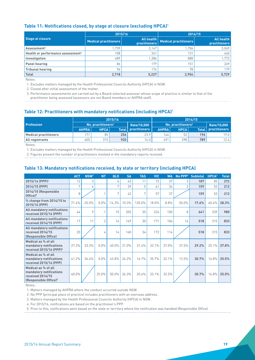#### <span id="page-18-0"></span>**Table 11: Notifications closed, by stage at closure (excluding HPCA)1**

|                                               | 2015/16                      |                                    | 2014/15               |                                    |
|-----------------------------------------------|------------------------------|------------------------------------|-----------------------|------------------------------------|
| Stage at closure                              | <b>Medical practitioners</b> | All health<br><b>practitioners</b> | Medical practitioners | All health<br><b>practitioners</b> |
| Assessment <sup>2</sup>                       | 1.739                        | 3.147                              | 1.706                 | 3,069                              |
| Health or performance assessment <sup>3</sup> | 108 <sub>1</sub>             | 341                                | 131                   | 440                                |
| Investigation                                 | 689                          | 1.386                              | 888                   | 1,772                              |
| Panel hearing                                 | 86                           | 179                                | 151                   | 269                                |
| <b>Tribunal hearing</b>                       | 96.                          | 174                                | 78                    | 179                                |
| <b>Total</b>                                  | 2,718                        | 5,227                              | 2,954                 | 5,729                              |

Notes:

1. Excludes matters managed by the Health Professional Councils Authority (HPCA) in NSW.

2. Closed after initial assessment of the matter.

3. Performance assessments are carried out by a Board-selected assessor whose scope of practice is similar to that of the

practitioner being assessed (assessors are not Board members or AHPRA staff).

#### **Table 12: Practitioners with mandatory notifications (including HPCA)1**

|                              |              |                                | 2015/16 |                     | 2014/15                        |             |     |                     |  |  |
|------------------------------|--------------|--------------------------------|---------|---------------------|--------------------------------|-------------|-----|---------------------|--|--|
| <b>Profession</b>            |              | No. practitioners <sup>2</sup> |         | Rate/10.000         | No. practitioners <sup>2</sup> |             |     | Rate/10.000         |  |  |
|                              | <b>AHPRA</b> | <b>HPCA</b>                    |         | Total practitioners | <b>AHPRA</b>                   | <b>HPCA</b> |     | Total practitioners |  |  |
| <b>Medical practitioners</b> | 171          | 85                             | 256     | 23.9                | 44                             | 52          | 196 | 19.0                |  |  |
| All registrants              | 605          | 315                            | 920     | 14.0                | 491                            | 298         | 789 | 12.4                |  |  |

Notes:

1. Excludes matters managed by the Health Professional Councils Authority (HPCA) in NSW.

2. Figures present the number of practitioners involved in the mandatory reports received.

#### **Table 13: Mandatory notifications received, by state or territory (including HPCA)**

|                                                                                                         | <b>ACT</b> | NSW <sup>1</sup> | <b>NT</b>                | QLD      | <b>SA</b> | <b>TAS</b> | <b>VIC</b> | <b>WA</b> | No PPP <sup>2</sup> | <b>Subtotal</b> | <b>HPCA3</b> | <b>Total</b> |
|---------------------------------------------------------------------------------------------------------|------------|------------------|--------------------------|----------|-----------|------------|------------|-----------|---------------------|-----------------|--------------|--------------|
| 2015/16 (PPP) <sup>4</sup>                                                                              | 12         | 3                |                          | 6        | 43        | 11         | 72         | 37        | 3                   | 187             | 85           | 272          |
| 2014/15 (PPP)                                                                                           | 7          | 4                |                          | 7        | 39        | 5          | 61         | 34        | $\overline{2}$      | 159             | 53           | 212          |
| 2014/15 (Responsible<br>Office $]$ <sup>5</sup>                                                         | 8          |                  |                          | 7        | 42        | 7          | 57         | 37        |                     | 159             | 53           | 212          |
| % change from 2014/15 to<br>2015/16 (PPP)                                                               | 71.4%      | $-25.0%$         | $0.0\%$                  | $-14.3%$ | 10.3%     | 120.0%     | 18.0%      | 8.8%      | 50.0%               | 17.6%           | 60.4%        | 28.3%        |
| All mandatory notifications<br>received 2015/16 (PPP)                                                   | 44         | 9                |                          | 15       | 205       | 35         | 224        | 100       | 8                   | 641             | 339          | 980          |
| All mandatory notifications<br>received 2014/15 (PPP)                                                   | 17         | 11               | $\overline{\phantom{0}}$ | 16       | 149       | 30         | 171        | 106       | 16                  | 518             | 315          | 833          |
| All mandatory notifications<br>received 2014/15<br>(Responsible Office)                                 | 20         |                  | 4                        | 14       | 160       | 34         | 172        | 114       |                     | 518             | 315          | 833          |
| Medical as % of all<br>mandatory notifications<br>received 2015/16 (PPP) <sup>4</sup>                   | 27.3%      | 33.3%            | $0.0\%$                  | 40.0%    | 21.0%     | 31.4%      | 32.1%      | 37.0%     | 37.5%               | 29.2%           | 25.1%        | 27.8%        |
| Medical as % of all<br>mandatory notifications<br>received 2015/16 (PPP)                                | 41.2%      | 36.4%            | $0.0\%$                  | 43.8%    | 26.2%     | 16.7%      | 35.7%      | 32.1%     | 12.5%               | 30.7%           | 16.8%        | 25.5%        |
| Medical as % of all<br>mandatory notifications<br>received 2014/15<br>(Responsible Office) <sup>5</sup> | 40.0%      |                  | 25.0%                    | 50.0%    | 26.3%     | 20.6%      | 33.1%      | 32.5%     |                     | 30.7%           | 16.8%        | 25.5%        |

Notes:

1. Matters managed by AHPRA where the conduct occurred outside NSW.

2. No PPP (principal place of practice) includes practitioners with an overseas address.

3. Matters managed by the Health Professional Councils Authority (HPCA) in NSW.

4. For 2015/16, notifications are based on the practitioner's PPP.

5. Prior to this, notifications were based on the state or territory where the notification was handled (Responsible Office).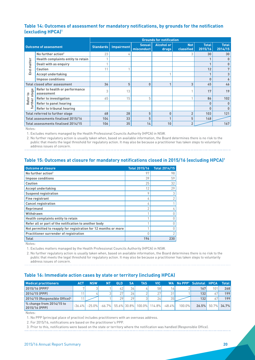#### <span id="page-19-0"></span>**Table 14: Outcomes of assessment for mandatory notifications, by grounds for the notification (excluding HPCA)1**

|            |                                              | <b>Grounds for notification</b> |            |                             |                            |                          |                         |                         |  |
|------------|----------------------------------------------|---------------------------------|------------|-----------------------------|----------------------------|--------------------------|-------------------------|-------------------------|--|
|            | <b>Outcome of assessment</b>                 | Standards                       | Impairment | <b>Sexual</b><br>misconduct | <b>Alcohol or</b><br>drugs | <b>Not</b><br>classified | <b>Total</b><br>2015/16 | <b>Total</b><br>2014/15 |  |
|            | No further action <sup>2</sup>               | 23                              | 4          |                             |                            | 3                        | 30                      | 30                      |  |
|            | Health complaints entity to retain           |                                 |            |                             |                            |                          |                         | 0                       |  |
| End matter | Dealt with as enquiry                        |                                 |            |                             |                            |                          |                         | 0                       |  |
|            | <b>Caution</b>                               | 11                              |            |                             |                            |                          | 12                      | 7                       |  |
|            | <b>Accept undertaking</b>                    |                                 |            |                             |                            |                          |                         | 3                       |  |
|            | <b>Impose conditions</b>                     |                                 |            |                             |                            |                          | n                       | 6                       |  |
|            | <b>Total closed after assessment</b>         | 36                              | 5          | 0                           |                            | 3                        | 45                      | 46                      |  |
| ge<br>sta  | Refer to health or performance<br>assessment | 3                               | 13         |                             |                            |                          | 17                      | 19                      |  |
| Refer to   | <b>Refer to investigation</b>                | 65                              | 15         | 5                           |                            |                          | 86                      | 102                     |  |
| rther      | Refer to panel hearing                       |                                 |            |                             |                            |                          | n                       | 0                       |  |
|            | Refer to tribunal hearing                    |                                 |            |                             |                            |                          | 0                       | $\bf{0}$                |  |
|            | <b>Total referred to further stage</b>       | 68                              | 28         | 5                           | $\Omega$                   | $\overline{2}$           | 103                     | 121                     |  |
|            | Total assessments finalised 2015/16          | 104                             | 33         | 5                           |                            | 5                        | 148                     |                         |  |
|            | Total assessments finalised 2014/15          | 106                             | 35         | 14                          | 10                         | $\overline{2}$           |                         | 167                     |  |

Notes:

1. Excludes matters managed by the Health Professional Councils Authority (HPCA) in NSW.

2. No further regulatory action is usually taken when, based on available information, the Board determines there is no risk to the public that meets the legal threshold for regulatory action. It may also be because a practitioner has taken steps to voluntarily address issues of concern.

#### **Table 15: Outcomes at closure for mandatory notifications closed in 2015/16 (excluding HPCA)1**

| <b>Outcome at closure</b>                                       | <b>Total 2015/16</b> | <b>Total 2014/15</b> |
|-----------------------------------------------------------------|----------------------|----------------------|
| No further action <sup>2</sup>                                  | 97                   | 98                   |
| <b>Impose conditions</b>                                        | 39                   | 59                   |
| <b>Caution</b>                                                  | 25                   | 32                   |
| <b>Accept undertaking</b>                                       | 12                   | 29                   |
| <b>Suspend registration</b>                                     | O                    | 3                    |
| <b>Fine registrant</b>                                          | 4                    | $\overline{2}$       |
| <b>Cancel registration</b>                                      | 4                    |                      |
| Reprimand                                                       | $\bigcap$            |                      |
| Withdrawn                                                       |                      |                      |
| Health complaints entity to retain                              |                      |                      |
| Refer all or part of the notification to another body           |                      |                      |
| Not permitted to reapply for registration for 12 months or more |                      |                      |
| Practitioner surrender of registration                          |                      |                      |
| <b>Total</b>                                                    | 196                  | 230                  |

Notes:

1. Excludes matters managed by the Health Professional Councils Authority (HPCA) in NSW.

2. No further regulatory action is usually taken when, based on available information, the Board determines there is no risk to the public that meets the legal threshold for regulatory action. It may also be because a practitioner has taken steps to voluntarily address issues of concern.

#### **Table 16: Immediate action cases by state or territory (including HPCA)**

| <b>Medical practitioners</b>                            | <b>ACT</b> | <b>NSW</b> | NΊ | <b>QLD</b> | SΔ  | TAS | <b>VIC</b>                          |                 |           | WA No PPP <sup>1</sup> Subtotal HPCA |     | <b>Total</b> |
|---------------------------------------------------------|------------|------------|----|------------|-----|-----|-------------------------------------|-----------------|-----------|--------------------------------------|-----|--------------|
| 2015/16 (PPP) <sup>2</sup>                              |            |            |    | 42         | 341 |     | 58                                  | 16 <sub>1</sub> |           | 167                                  | 101 | 268          |
| 2014/15 (PPP)                                           |            |            |    | 27         | 26  |     | 27                                  | 31              |           | 132                                  | 67  | 199          |
| 2014/15 (Responsible Office) <sup>3</sup>               |            |            |    | 29         | 291 |     | 24                                  | 35              |           | 132                                  | 67' | 199          |
| $\frac{1}{2}$ % change from 2014/15 to<br>2015/16 (PPP) | $-36.4%$   | $-25.0\%$  |    |            |     |     | $-66.7\%$ 55.6% 30.8% 100.0% 114.8% | $-48.4\%$       | $100.0\%$ | 26.5%                                |     | 50.7% 34.7%  |

Notes:

1. No PPP (principal place of practice) includes practitioners with an overseas address.

2. For 2015/16, notifications are based on the practitioner's PPP.

3. Prior to this, notifications were based on the state or territory where the notification was handled (Responsible Office).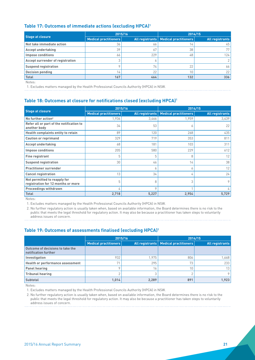#### <span id="page-20-0"></span>**Table 17: Outcomes of immediate actions (excluding HPCA)1**

| <b>Stage at closure</b>          | 2015/16                      |     | 2014/15                                 |                        |  |  |
|----------------------------------|------------------------------|-----|-----------------------------------------|------------------------|--|--|
|                                  | <b>Medical practitioners</b> |     | All registrants   Medical practitioners | <b>All registrants</b> |  |  |
| Not take immediate action        | 36                           | 66  | 14                                      | 45                     |  |  |
| <b>Accept undertaking</b>        | 39                           | 67  | 38                                      | 77                     |  |  |
| Impose conditions                | 66                           | 229 | 48                                      | 124                    |  |  |
| Accept surrender of registration |                              |     |                                         | $\overline{2}$         |  |  |
| <b>Suspend registration</b>      |                              | 74  | 22                                      | 66                     |  |  |
| <b>Decision pending</b>          | 14                           | 22  | 10                                      | 22                     |  |  |
| <b>Total</b>                     | 167                          | 464 | 132                                     | 336                    |  |  |

Notes:

1. Excludes matters managed by the Health Professional Councils Authority (HPCA) in NSW.

#### **Table 18: Outcomes at closure for notifications closed (excluding HPCA)1**

|                                                                    | 2015/16                      |                        |                              | 2014/15                |
|--------------------------------------------------------------------|------------------------------|------------------------|------------------------------|------------------------|
| <b>Stage at closure</b>                                            | <b>Medical practitioners</b> | <b>All registrants</b> | <b>Medical practitioners</b> | <b>All registrants</b> |
| No further action <sup>2</sup>                                     | 1,936                        | 3,466                  | 1,959                        | 3,439                  |
| Refer all or part of the notification to<br>another body           | 34                           | 53                     | 6                            | 22                     |
| Health complaints entity to retain                                 | 89                           | 120                    | 268                          | 435                    |
| <b>Caution or reprimand</b>                                        | 329                          | 719                    | 353                          | 811                    |
| <b>Accept undertaking</b>                                          | 68                           | 181                    | 103                          | 311                    |
| <b>Impose conditions</b>                                           | 205                          | 580                    | 229                          | 612                    |
| <b>Fine registrant</b>                                             | 5                            | 5                      | 8                            | 12                     |
| <b>Suspend registration</b>                                        | 30                           | 46                     | 14                           | 38                     |
| <b>Practitioner surrender</b>                                      |                              | h                      | 6                            | 12                     |
| <b>Cancel registration</b>                                         | 13                           | 34                     | 4                            | 24                     |
| Not permitted to reapply for<br>registration for 12 months or more | 5                            | 8                      | 3                            | $\circ$                |
| <b>Proceedings withdrawn</b>                                       | 4                            | $\mathsf Q$            |                              |                        |
| <b>Total</b>                                                       | 2,718                        | 5,227                  | 2,954                        | 5,729                  |

Notes:

1. Excludes matters managed by the Health Professional Councils Authority (HPCA) in NSW.

2. No further regulatory action is usually taken when, based on available information, the Board determines there is no risk to the public that meets the legal threshold for regulatory action. It may also be because a practitioner has taken steps to voluntarily address issues of concern.

#### **Table 19: Outcomes of assessments finalised (excluding HPCA)1**

|                                                          |                       | 2015/16 |                                         | 2014/15                |
|----------------------------------------------------------|-----------------------|---------|-----------------------------------------|------------------------|
|                                                          | Medical practitioners |         | All registrants   Medical practitioners | <b>All registrants</b> |
| Outcome of decisions to take the<br>notification further |                       |         |                                         |                        |
| Investigation                                            | 932                   | 1.975   | 806                                     | 1,668                  |
| Health or performance assessment                         | 74                    | 295     | 73                                      | 233                    |
| <b>Panel hearing</b>                                     |                       | 16      | 10                                      | 13 <sup>1</sup>        |
| <b>Tribunal hearing</b>                                  |                       |         |                                         | O                      |
| Subtotal                                                 | 1.014                 | 2,289   | 891                                     | 1,923                  |

Notes:

1. Excludes matters managed by the Health Professional Councils Authority (HPCA) in NSW.

2. No further regulatory action is usually taken when, based on available information, the Board determines there is no risk to the public that meets the legal threshold for regulatory action. It may also be because a practitioner has taken steps to voluntarily address issues of concern.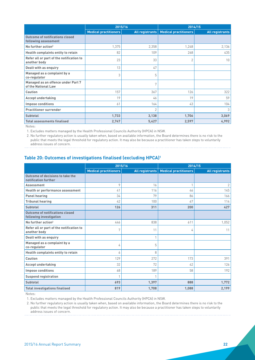<span id="page-21-0"></span>

|                                                                | 2015/16                      |                        | 2014/15                      |                        |  |  |
|----------------------------------------------------------------|------------------------------|------------------------|------------------------------|------------------------|--|--|
|                                                                | <b>Medical practitioners</b> | <b>All registrants</b> | <b>Medical practitioners</b> | <b>All registrants</b> |  |  |
| <b>Outcome of notifications closed</b><br>following assessment |                              |                        |                              |                        |  |  |
| No further action <sup>2</sup>                                 | 1,375                        | 2,358                  | 1,248                        | 2,136                  |  |  |
| Health complaints entity to retain                             | 82                           | 109                    | 268                          | 435                    |  |  |
| Refer all or part of the notification to<br>another body       | 23                           | 33                     | $\overline{2}$               | 10                     |  |  |
| Dealt with as enquiry                                          | 13                           | 47                     |                              |                        |  |  |
| Managed as a complaint by a<br>co-regulator                    | 3                            | 5                      |                              |                        |  |  |
| Managed as an offence under Part 7<br>of the National Law      |                              | 7                      |                              |                        |  |  |
| <b>Caution</b>                                                 | 157                          | 367                    | 126                          | 322                    |  |  |
| <b>Accept undertaking</b>                                      | 19                           | 46                     | 19                           | 59                     |  |  |
| <b>Impose conditions</b>                                       | 61                           | 164                    | 43                           | 104                    |  |  |
| <b>Practitioner surrender</b>                                  |                              | $\overline{2}$         |                              | 3                      |  |  |
| Subtotal                                                       | 1,733                        | 3,138                  | 1,706                        | 3,069                  |  |  |
| <b>Total assessments finalised</b>                             | 2,747                        | 5,427                  | 2,597                        | 4,992                  |  |  |

Notes:

1. Excludes matters managed by the Health Professional Councils Authority (HPCA) in NSW.

2. No further regulatory action is usually taken when, based on available information, the Board determines there is no risk to the public that meets the legal threshold for regulatory action. It may also be because a practitioner has taken steps to voluntarily address issues of concern.

#### **Table 20: Outcomes of investigations finalised (excluding HPCA)1**

|                                                                   | 2015/16                      |                        | 2014/15                      |                        |  |  |  |
|-------------------------------------------------------------------|------------------------------|------------------------|------------------------------|------------------------|--|--|--|
|                                                                   | <b>Medical practitioners</b> | <b>All registrants</b> | <b>Medical practitioners</b> | <b>All registrants</b> |  |  |  |
| Outcome of decisions to take the<br>notification further          |                              |                        |                              |                        |  |  |  |
| Assessment                                                        | 9                            | 16                     | $\mathbf{1}$                 | $\overline{2}$         |  |  |  |
| Health or performance assessment                                  | 41                           | 116                    | 46                           | 145                    |  |  |  |
| <b>Panel hearing</b>                                              | 34                           | 79                     | 86                           | 166                    |  |  |  |
| <b>Tribunal hearing</b>                                           | 42                           | 100                    | 67                           | 114                    |  |  |  |
| Subtotal                                                          | 126                          | 311                    | 200                          | 427                    |  |  |  |
| <b>Outcome of notifications closed</b><br>following investigation |                              |                        |                              |                        |  |  |  |
| No further action <sup>2</sup>                                    | 446                          | 838                    | 611                          | 1,052                  |  |  |  |
| Refer all or part of the notification to<br>another body          | 7                            | 11                     | 4                            | 11                     |  |  |  |
| Dealt with as enquiry                                             |                              |                        |                              |                        |  |  |  |
| Managed as a complaint by a<br>co-regulator                       | 4                            | 5                      |                              |                        |  |  |  |
| Health complaints entity to retain                                | 6                            | 8                      |                              |                        |  |  |  |
| Caution                                                           | 129                          | 272                    | 173                          | 391                    |  |  |  |
| <b>Accept undertaking</b>                                         | 32                           | 72                     | 42                           | 126                    |  |  |  |
| <b>Impose conditions</b>                                          | 68                           | 189                    | 58                           | 192                    |  |  |  |
| <b>Suspend registration</b>                                       | $\mathbf{1}$                 |                        |                              |                        |  |  |  |
| Subtotal                                                          | 693                          | 1,397                  | 888                          | 1,772                  |  |  |  |
| <b>Total investigations finalised</b>                             | 819                          | 1,708                  | 1,088                        | 2,199                  |  |  |  |

Notes:

1. Excludes matters managed by the Health Professional Councils Authority (HPCA) in NSW.

2. No further regulatory action is usually taken when, based on available information, the Board determines there is no risk to the public that meets the legal threshold for regulatory action. It may also be because a practitioner has taken steps to voluntarily address issues of concern.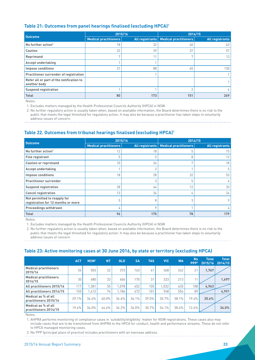#### <span id="page-22-0"></span>**Table 21: Outcomes from panel hearings finalised (excluding HPCA)1**

| <b>Outcome</b>                                           | 2015/16                      |                        | 2014/15                      |                        |  |  |  |
|----------------------------------------------------------|------------------------------|------------------------|------------------------------|------------------------|--|--|--|
|                                                          | <b>Medical practitioners</b> | <b>All registrants</b> | <b>Medical practitioners</b> | <b>All registrants</b> |  |  |  |
| No further action <sup>2</sup>                           | 18                           | 32                     | 40                           | 63                     |  |  |  |
| <b>Caution</b>                                           | 22                           | 39                     | 37                           | 57                     |  |  |  |
| Reprimand                                                | $\mathbf{r}$                 |                        |                              | 13                     |  |  |  |
| <b>Accept undertaking</b>                                |                              |                        |                              |                        |  |  |  |
| <b>Impose conditions</b>                                 | 31                           | 88                     | 65                           | 130                    |  |  |  |
| <b>Practitioner surrender of registration</b>            |                              |                        |                              |                        |  |  |  |
| Refer all or part of the notification to<br>another body |                              |                        |                              |                        |  |  |  |
| <b>Suspend registration</b>                              |                              |                        |                              | 4                      |  |  |  |
| <b>Total</b>                                             | 80                           | 173                    | 151                          | 269                    |  |  |  |

Notes:

1. Excludes matters managed by the Health Professional Councils Authority (HPCA) in NSW.

2. No further regulatory action is usually taken when, based on available information, the Board determines there is no risk to the public that meets the legal threshold for regulatory action. It may also be because a practitioner has taken steps to voluntarily address issues of concern.

#### **Table 22. Outcomes from tribunal hearings finalised (excluding HPCA)1**

| <b>Outcome</b>                                                     | 2015/16                      |                        | 2014/15                      |                        |  |  |  |
|--------------------------------------------------------------------|------------------------------|------------------------|------------------------------|------------------------|--|--|--|
|                                                                    | <b>Medical practitioners</b> | <b>All registrants</b> | <b>Medical practitioners</b> | <b>All registrants</b> |  |  |  |
| No further action <sup>2</sup>                                     | 12                           | 18                     | 5                            | 15                     |  |  |  |
| <b>Fine registrant</b>                                             | 5                            | 5                      | 8                            | 12                     |  |  |  |
| <b>Caution or reprimand</b>                                        | 10                           | 24                     |                              | 18                     |  |  |  |
| <b>Accept undertaking</b>                                          |                              |                        |                              | 5                      |  |  |  |
| <b>Impose conditions</b>                                           | 18                           | 28                     | 32                           | 53                     |  |  |  |
| <b>Practitioner surrender</b>                                      |                              | 3                      | 5                            | 6                      |  |  |  |
| <b>Suspend registration</b>                                        | 28                           | 44                     | 12                           | 33                     |  |  |  |
| <b>Cancel registration</b>                                         | 13                           | 34                     | 4                            | 24                     |  |  |  |
| Not permitted to reapply for<br>registration for 12 months or more | 5                            | 8                      | 3                            | 9                      |  |  |  |
| <b>Proceedings withdrawn</b>                                       | 4                            | $\circ$                |                              | 4                      |  |  |  |
| <b>Total</b>                                                       | 96                           | 175                    | 78                           | 179                    |  |  |  |

Notes:

1. Excludes matters managed by the Health Professional Councils Authority (HPCA) in NSW.

2. No further regulatory action is usually taken when, based on available information, the Board determines there is no risk to the public that meets the legal threshold for regulatory action. It may also be because a practitioner has taken steps to voluntarily address issues of concern.

#### **Table 23: Active monitoring cases at 30 June 2016, by state or territory (excluding HPCA)**

|                                              | <b>ACT</b> | NSW <sup>1</sup> | <b>NT</b> | QLD   | <b>SA</b> | <b>TAS</b> | <b>VIC</b> | <b>WA</b> | <b>No</b><br>PPP <sup>2</sup> | <b>Total</b><br>2015/16 | <b>Total</b><br>2014/15 |
|----------------------------------------------|------------|------------------|-----------|-------|-----------|------------|------------|-----------|-------------------------------|-------------------------|-------------------------|
| <b>Medical practitioners</b><br>2015/16      | 34         | 503              | 22        | 373   | 163       | 41         | 368        | 242       | 21                            | 1,767                   |                         |
| <b>Medical practitioners</b><br>2014/15      | 30         | 480              | 33        | 406   | 170       | 31         | 323        | 213       | 11                            |                         | 1,697                   |
| All practitioners 2015/16                    | 117        | .381             | 55        | 1.078 | 452       | 105        | 1,032      | 635       | 108                           | 4,963                   |                         |
| All practitioners 2014/15                    | 155        | 1,412            | 74        | 1.186 | 472       | 101        | 948        | 554       | 89                            |                         | 4,991                   |
| Medical as % of all<br>practitioners 2015/16 | 29.1%      | 36.4%            | 40.0%     | 34.6% | 36.1%     | 39.0%      | 35.7%      | 38.1%     | 19.4%                         | 35.6%                   |                         |
| Medical as % of all<br>practitioners 2014/15 | 19.4%      | 34.0%            | 44.6%     | 34.2% | 36.0%     | 30.7%      | 34.1%      | 38.4%     | 12.4%                         |                         | 34.0%                   |

Notes:

1. AHPRA performs monitoring of compliance cases in 'suitability/eligibility' matter for NSW registrations. These cases also may include cases that are to be transitioned from AHPRA to the HPCA for conduct, health and performance streams. These do not refer to HPCA managed monitoring cases.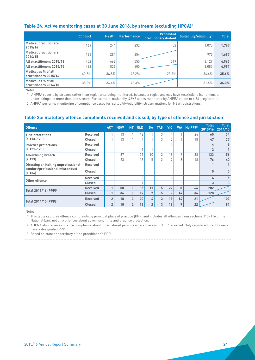#### <span id="page-23-0"></span>**Table 24: Active monitoring cases at 30 June 2016, by stream (excluding HPCA)1**

|                                              | <b>Conduct</b> | <b>Health</b> | <b>Performance</b> | <b>Prohibited</b><br>practitioner/student | Suitability/eligibility <sup>2</sup> | <b>Total</b> |
|----------------------------------------------|----------------|---------------|--------------------|-------------------------------------------|--------------------------------------|--------------|
| <b>Medical practitioners</b><br>2015/16      | 164.           | 244           | 232                | 52                                        | 1.075                                | 1.767        |
| <b>Medical practitioners</b><br>2014/15      | 184,           | 284           | 254                |                                           | 975                                  | 1.697        |
| All practitioners 2015/16                    | 402            | 663           | 550                | 219                                       | 3.129                                | 4,963        |
| All practitioners 2014/15                    | 482            | 826           | 600                |                                           | 3.083                                | 4,991        |
| Medical as % of all<br>practitioners 2015/16 | 40.8%          | 36.8%         | $42.2\%$           | 23.7%                                     | 34.4%                                | 35.6%        |
| Medical as % of all<br>practitioners 2014/15 | 38.2%          | 34.4%         | 42.3%              |                                           | 31.6%                                | 34.0%        |

Notes:

1. AHPRA reports by stream, rather than registrants being monitored, because a registrant may have restrictions (conditions or undertakings) in more than one stream. For example, nationally, 4,963 cases monitored by AHPRA relate to 4,861 registrants.

2. AHPRA performs monitoring of compliance cases for 'suitability/eligibility' stream matters for NSW registrations.

#### **Table 25: Statutory offence complaints received and closed, by type of offence and jurisdiction1**

| <b>Offence</b>                             |                 |                | <b>ACT NSW</b> | NT.            | <b>QLD</b>     | <b>SA</b>      | <b>TAS</b>     | <b>VIC</b>     |              | WA No PPP <sup>2</sup> | <b>Total</b><br>2015/16 | <b>Total</b><br>2014/15 |
|--------------------------------------------|-----------------|----------------|----------------|----------------|----------------|----------------|----------------|----------------|--------------|------------------------|-------------------------|-------------------------|
| <b>Title protections</b>                   | <b>Received</b> |                | 13             |                | 12             |                | 3              | 4              |              | 24                     | 60                      | 34                      |
| $(s.113 - 120)$                            | <b>Closed</b>   |                | 13             |                | 4              |                | 3              | $\overline{2}$ | 4            | 18                     | 47                      | 37                      |
| <b>Practice protections</b>                | <b>Received</b> |                |                |                |                |                |                | 4              |              |                        | 4                       | 6                       |
| $(s.121 - 123)$                            | <b>Closed</b>   |                |                |                |                | $\overline{ }$ |                |                |              |                        | $\overline{2}$          | 1                       |
| <b>Advertising breach</b>                  | <b>Received</b> |                | 37             |                | 21             | 10             | $\mathfrak{D}$ | 18             | $\mathbf{r}$ | 38                     | 133                     | 56                      |
| (s.133)                                    | <b>Closed</b>   |                | 23             |                | 13             | 5              | 2              | $\mathbf{r}$   | 8            | 18                     | 76                      | 40                      |
| Directing or inciting unprofessional       | <b>Received</b> |                |                |                |                |                |                |                |              |                        |                         | 1                       |
| conduct/professional misconduct<br>(s.136) | <b>Closed</b>   |                |                |                |                |                |                |                |              |                        | $\bf{0}$                | $\mathbf{0}$            |
| Other offence                              | <b>Received</b> |                |                |                | $\mathfrak{D}$ |                |                |                |              |                        | 4                       | 6                       |
|                                            | <b>Closed</b>   |                |                |                |                |                |                |                | 2            |                        | 3                       | 3 <sub>1</sub>          |
| Total 2015/16 (PPP) <sup>3</sup>           | <b>Received</b> |                | 50             | 1              | 35             | 11             | 5              | 27             | 8            | 64                     | 202                     |                         |
|                                            | <b>Closed</b>   |                | 36             |                | 19             | $7\phantom{.}$ | 5              | 9              | 14           | 36                     | 128                     |                         |
| Total 2014/15 (PPP) <sup>3</sup>           | <b>Received</b> | $\overline{2}$ | 18             | 3              | 20             | 4              | 3              | 18             | 14           | 21                     |                         | 103                     |
|                                            | <b>Closed</b>   | $\overline{2}$ | 10             | $\overline{2}$ | 12             | $\overline{2}$ | 3              | 19             | 9            | 22                     |                         | 81                      |

Notes:

1. This table captures offence complaints by principal place of practice (PPP) and includes all offences from sections 113–116 of the National Law, not only offences about advertising, title and practice protection.

2. AHPRA also receives offence complaints about unregistered persons where there is no PPP recorded. Only registered practitioners have a designated PPP.

3. Based on state and territory of the practitioner's PPP.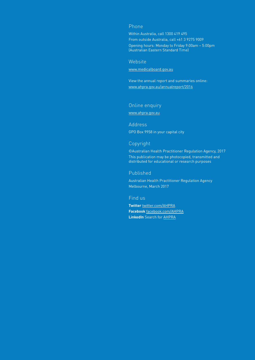#### Phone

Within Australia, call 1300 419 495 From outside Australia, call +61 3 9275 9009 Opening hours: Monday to Friday 9:00am – 5:00pm (Australian Eastern Standard Time)

#### **Website**

[www.medicalboard.gov.au](http://www.medicalboard.gov.au)

View the annual report and summaries online: www.ahpra.gov.au/annualreport/2016

#### Online enquiry

[www.ahpra.gov.au](https://www.ahpra.gov.au/About-AHPRA/Contact-Us/Make-an-Enquiry.aspx)

#### Address GPO Box 9958 in your capital city

#### Copyright

©Australian Health Practitioner Regulation Agency, 2017 This publication may be photocopied, transmitted and distributed for educational or research purposes

#### Published

Australian Health Practitioner Regulation Agency Melbourne, March 2017

#### Find us

**Twitter** [twitter.com/AHPRA](https://twitter.com/ahpra) **Facebook** [facebook.com/AHPRA](https://www.facebook.com/ahpra.gov.au) **LinkedIn** Search for [AHPRA](https://www.linkedin.com/company/australian-health-practitioner-regulation-agency)